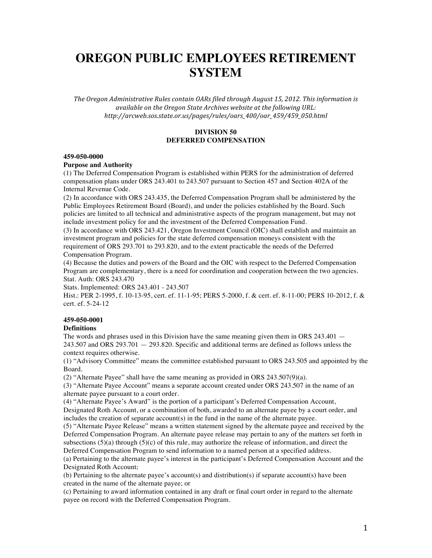# **OREGON PUBLIC EMPLOYEES RETIREMENT SYSTEM**

The Oregon Administrative Rules contain OARs filed through August 15, 2012. This information is available on the Oregon State Archives website at the following URL: *http://arcweb.sos.state.or.us/pages/rules/oars\_400/oar\_459/459\_050.html*

## **DIVISION 50 DEFERRED COMPENSATION**

#### **459-050-0000**

#### **Purpose and Authority**

(1) The Deferred Compensation Program is established within PERS for the administration of deferred compensation plans under ORS 243.401 to 243.507 pursuant to Section 457 and Section 402A of the Internal Revenue Code.

(2) In accordance with ORS 243.435, the Deferred Compensation Program shall be administered by the Public Employees Retirement Board (Board), and under the policies established by the Board. Such policies are limited to all technical and administrative aspects of the program management, but may not include investment policy for and the investment of the Deferred Compensation Fund.

(3) In accordance with ORS 243.421, Oregon Investment Council (OIC) shall establish and maintain an investment program and policies for the state deferred compensation moneys consistent with the requirement of ORS 293.701 to 293.820, and to the extent practicable the needs of the Deferred Compensation Program.

(4) Because the duties and powers of the Board and the OIC with respect to the Deferred Compensation Program are complementary, there is a need for coordination and cooperation between the two agencies. Stat. Auth: ORS 243.470

Stats. Implemented: ORS 243.401 - 243.507

Hist.: PER 2-1995, f. 10-13-95, cert. ef. 11-1-95; PERS 5-2000, f. & cert. ef. 8-11-00; PERS 10-2012, f. & cert. ef. 5-24-12

## **459-050-0001**

#### **Definitions**

The words and phrases used in this Division have the same meaning given them in ORS 243.401  $-$ 243.507 and ORS 293.701 — 293.820. Specific and additional terms are defined as follows unless the context requires otherwise.

(1) "Advisory Committee" means the committee established pursuant to ORS 243.505 and appointed by the Board.

(2) "Alternate Payee" shall have the same meaning as provided in ORS 243.507(9)(a).

(3) "Alternate Payee Account" means a separate account created under ORS 243.507 in the name of an alternate payee pursuant to a court order.

(4) "Alternate Payee's Award" is the portion of a participant's Deferred Compensation Account,

Designated Roth Account, or a combination of both, awarded to an alternate payee by a court order, and includes the creation of separate account(s) in the fund in the name of the alternate payee.

(5) "Alternate Payee Release" means a written statement signed by the alternate payee and received by the Deferred Compensation Program. An alternate payee release may pertain to any of the matters set forth in subsections  $(5)(a)$  through  $(5)(c)$  of this rule, may authorize the release of information, and direct the Deferred Compensation Program to send information to a named person at a specified address.

(a) Pertaining to the alternate payee's interest in the participant's Deferred Compensation Account and the Designated Roth Account;

(b) Pertaining to the alternate payee's account(s) and distribution(s) if separate account(s) have been created in the name of the alternate payee; or

(c) Pertaining to award information contained in any draft or final court order in regard to the alternate payee on record with the Deferred Compensation Program.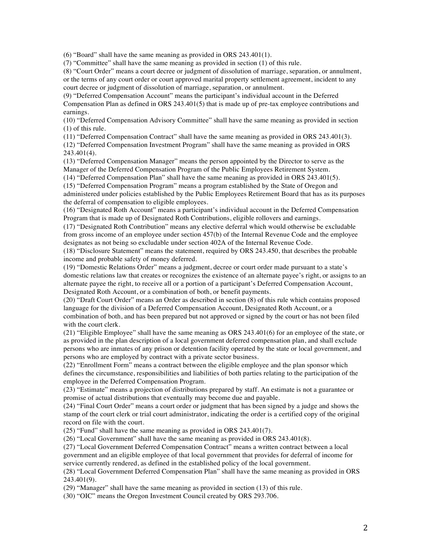(6) "Board" shall have the same meaning as provided in ORS 243.401(1).

(7) "Committee" shall have the same meaning as provided in section (1) of this rule.

(8) "Court Order" means a court decree or judgment of dissolution of marriage, separation, or annulment, or the terms of any court order or court approved marital property settlement agreement, incident to any court decree or judgment of dissolution of marriage, separation, or annulment.

(9) "Deferred Compensation Account" means the participant's individual account in the Deferred Compensation Plan as defined in ORS 243.401(5) that is made up of pre-tax employee contributions and earnings.

(10) "Deferred Compensation Advisory Committee" shall have the same meaning as provided in section (1) of this rule.

(11) "Deferred Compensation Contract" shall have the same meaning as provided in ORS 243.401(3).

(12) "Deferred Compensation Investment Program" shall have the same meaning as provided in ORS 243.401(4).

(13) "Deferred Compensation Manager" means the person appointed by the Director to serve as the Manager of the Deferred Compensation Program of the Public Employees Retirement System.

(14) "Deferred Compensation Plan" shall have the same meaning as provided in ORS 243.401(5).

(15) "Deferred Compensation Program" means a program established by the State of Oregon and administered under policies established by the Public Employees Retirement Board that has as its purposes the deferral of compensation to eligible employees.

(16) "Designated Roth Account" means a participant's individual account in the Deferred Compensation Program that is made up of Designated Roth Contributions, eligible rollovers and earnings.

(17) "Designated Roth Contribution" means any elective deferral which would otherwise be excludable from gross income of an employee under section 457(b) of the Internal Revenue Code and the employee designates as not being so excludable under section 402A of the Internal Revenue Code.

(18) "Disclosure Statement" means the statement, required by ORS 243.450, that describes the probable income and probable safety of money deferred.

(19) "Domestic Relations Order" means a judgment, decree or court order made pursuant to a state's domestic relations law that creates or recognizes the existence of an alternate payee's right, or assigns to an alternate payee the right, to receive all or a portion of a participant's Deferred Compensation Account, Designated Roth Account, or a combination of both, or benefit payments.

(20) "Draft Court Order" means an Order as described in section (8) of this rule which contains proposed language for the division of a Deferred Compensation Account, Designated Roth Account, or a combination of both, and has been prepared but not approved or signed by the court or has not been filed with the court clerk.

(21) "Eligible Employee" shall have the same meaning as ORS 243.401(6) for an employee of the state, or as provided in the plan description of a local government deferred compensation plan, and shall exclude persons who are inmates of any prison or detention facility operated by the state or local government, and persons who are employed by contract with a private sector business.

(22) "Enrollment Form" means a contract between the eligible employee and the plan sponsor which defines the circumstance, responsibilities and liabilities of both parties relating to the participation of the employee in the Deferred Compensation Program.

(23) "Estimate" means a projection of distributions prepared by staff. An estimate is not a guarantee or promise of actual distributions that eventually may become due and payable.

(24) "Final Court Order" means a court order or judgment that has been signed by a judge and shows the stamp of the court clerk or trial court administrator, indicating the order is a certified copy of the original record on file with the court.

(25) "Fund" shall have the same meaning as provided in ORS 243.401(7).

(26) "Local Government" shall have the same meaning as provided in ORS 243.401(8).

(27) "Local Government Deferred Compensation Contract" means a written contract between a local government and an eligible employee of that local government that provides for deferral of income for service currently rendered, as defined in the established policy of the local government.

(28) "Local Government Deferred Compensation Plan" shall have the same meaning as provided in ORS 243.401(9).

(29) "Manager" shall have the same meaning as provided in section (13) of this rule.

(30) "OIC" means the Oregon Investment Council created by ORS 293.706.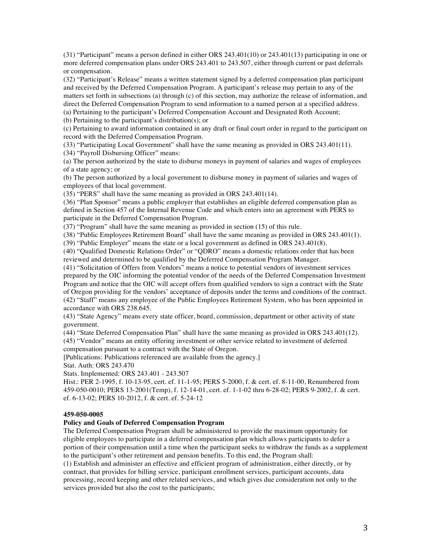(31) "Participant" means a person defined in either ORS 243.401(10) or 243.401(13) participating in one or more deferred compensation plans under ORS 243.401 to 243.507, either through current or past deferrals or compensation.

(32) "Participant's Release" means a written statement signed by a deferred compensation plan participant and received by the Deferred Compensation Program. A participant's release may pertain to any of the matters set forth in subsections (a) through (c) of this section, may authorize the release of information, and direct the Deferred Compensation Program to send information to a named person at a specified address. (a) Pertaining to the participant's Deferred Compensation Account and Designated Roth Account;

(b) Pertaining to the participant's distribution(s); or

(c) Pertaining to award information contained in any draft or final court order in regard to the participant on record with the Deferred Compensation Program.

(33) "Participating Local Government" shall have the same meaning as provided in ORS 243.401(11).

(34) "Payroll Disbursing Officer" means:

(a) The person authorized by the state to disburse moneys in payment of salaries and wages of employees of a state agency; or

(b) The person authorized by a local government to disburse money in payment of salaries and wages of employees of that local government.

(35) "PERS" shall have the same meaning as provided in ORS 243.401(14).

(36) "Plan Sponsor" means a public employer that establishes an eligible deferred compensation plan as defined in Section 457 of the Internal Revenue Code and which enters into an agreement with PERS to participate in the Deferred Compensation Program.

(37) "Program" shall have the same meaning as provided in section (15) of this rule.

(38) "Public Employees Retirement Board" shall have the same meaning as provided in ORS 243.401(1).

(39) "Public Employer" means the state or a local government as defined in ORS 243.401(8).

(40) "Qualified Domestic Relations Order" or "QDRO" means a domestic relations order that has been reviewed and determined to be qualified by the Deferred Compensation Program Manager.

(41) "Solicitation of Offers from Vendors" means a notice to potential vendors of investment services prepared by the OIC informing the potential vendor of the needs of the Deferred Compensation Investment Program and notice that the OIC will accept offers from qualified vendors to sign a contract with the State of Oregon providing for the vendors' acceptance of deposits under the terms and conditions of the contract. (42) "Staff" means any employee of the Public Employees Retirement System, who has been appointed in accordance with ORS 238.645.

(43) "State Agency" means every state officer, board, commission, department or other activity of state government.

(44) "State Deferred Compensation Plan" shall have the same meaning as provided in ORS 243.401(12).

(45) "Vendor" means an entity offering investment or other service related to investment of deferred compensation pursuant to a contract with the State of Oregon.

[Publications: Publications referenced are available from the agency.]

Stat. Auth: ORS 243.470

Stats. Implemented: ORS 243.401 - 243.507

Hist.: PER 2-1995, f. 10-13-95, cert. ef. 11-1-95; PERS 5-2000, f. & cert. ef. 8-11-00, Renumbered from 459-050-0010; PERS 13-2001(Temp), f. 12-14-01, cert. ef. 1-1-02 thru 6-28-02; PERS 9-2002, f. & cert. ef. 6-13-02; PERS 10-2012, f. & cert. ef. 5-24-12

## **459-050-0005**

## **Policy and Goals of Deferred Compensation Program**

The Deferred Compensation Program shall be administered to provide the maximum opportunity for eligible employees to participate in a deferred compensation plan which allows participants to defer a portion of their compensation until a time when the participant seeks to withdraw the funds as a supplement to the participant's other retirement and pension benefits. To this end, the Program shall:

(1) Establish and administer an effective and efficient program of administration, either directly, or by contract, that provides for billing service, participant enrollment services, participant accounts, data processing, record keeping and other related services, and which gives due consideration not only to the services provided but also the cost to the participants;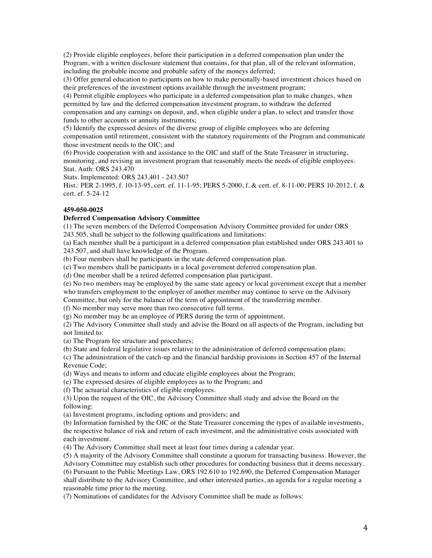(2) Provide eligible employees, before their participation in a deferred compensation plan under the Program, with a written disclosure statement that contains, for that plan, all of the relevant information, including the probable income and probable safety of the moneys deferred;

(3) Offer general education to participants on how to make personally-based investment choices based on their preferences of the investment options available through the investment program;

(4) Permit eligible employees who participate in a deferred compensation plan to make changes, when permitted by law and the deferred compensation investment program, to withdraw the deferred compensation and any earnings on deposit, and, when eligible under a plan, to select and transfer those funds to other accounts or annuity instruments;

(5) Identify the expressed desires of the diverse group of eligible employees who are deferring compensation until retirement, consistent with the statutory requirements of the Program and communicate those investment needs to the OIC; and

(6) Provide cooperation with and assistance to the OIC and staff of the State Treasurer in structuring, monitoring, and revising an investment program that reasonably meets the needs of eligible employees. Stat. Auth: ORS 243.470

Stats. Implemented: ORS 243.401 - 243.507

Hist.: PER 2-1995, f. 10-13-95, cert. ef. 11-1-95; PERS 5-2000, f. & cert. ef. 8-11-00; PERS 10-2012, f. & cert. ef. 5-24-12

## **459-050-0025**

## **Deferred Compensation Advisory Committee**

(1) The seven members of the Deferred Compensation Advisory Committee provided for under ORS 243.505, shall be subject to the following qualifications and limitations:

(a) Each member shall be a participant in a deferred compensation plan established under ORS 243.401 to 243.507, and shall have knowledge of the Program.

(b) Four members shall be participants in the state deferred compensation plan.

(c) Two members shall be participants in a local government deferred compensation plan.

(d) One member shall be a retired deferred compensation plan participant.

(e) No two members may be employed by the same state agency or local government except that a member who transfers employment to the employer of another member may continue to serve on the Advisory

Committee, but only for the balance of the term of appointment of the transferring member.

(f) No member may serve more than two consecutive full terms.

(g) No member may be an employee of PERS during the term of appointment.

(2) The Advisory Committee shall study and advise the Board on all aspects of the Program, including but not limited to:

(a) The Program fee structure and procedures;

(b) State and federal legislative issues relative to the administration of deferred compensation plans;

(c) The administration of the catch-up and the financial hardship provisions in Section 457 of the Internal Revenue Code;

(d) Ways and means to inform and educate eligible employees about the Program;

(e) The expressed desires of eligible employees as to the Program; and

(f) The actuarial characteristics of eligible employees.

(3) Upon the request of the OIC, the Advisory Committee shall study and advise the Board on the following:

(a) Investment programs, including options and providers; and

(b) Information furnished by the OIC or the State Treasurer concerning the types of available investments, the respective balance of risk and return of each investment, and the administrative costs associated with each investment.

(4) The Advisory Committee shall meet at least four times during a calendar year.

(5) A majority of the Advisory Committee shall constitute a quorum for transacting business. However, the Advisory Committee may establish such other procedures for conducting business that it deems necessary. (6) Pursuant to the Public Meetings Law, ORS 192.610 to 192.690, the Deferred Compensation Manager shall distribute to the Advisory Committee, and other interested parties, an agenda for a regular meeting a reasonable time prior to the meeting.

(7) Nominations of candidates for the Advisory Committee shall be made as follows: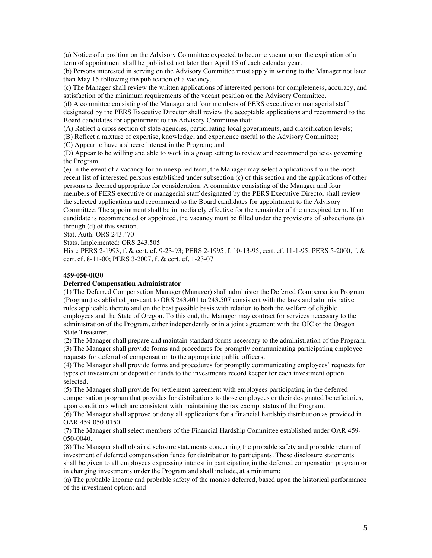(a) Notice of a position on the Advisory Committee expected to become vacant upon the expiration of a term of appointment shall be published not later than April 15 of each calendar year.

(b) Persons interested in serving on the Advisory Committee must apply in writing to the Manager not later than May 15 following the publication of a vacancy.

(c) The Manager shall review the written applications of interested persons for completeness, accuracy, and satisfaction of the minimum requirements of the vacant position on the Advisory Committee.

(d) A committee consisting of the Manager and four members of PERS executive or managerial staff designated by the PERS Executive Director shall review the acceptable applications and recommend to the Board candidates for appointment to the Advisory Committee that:

(A) Reflect a cross section of state agencies, participating local governments, and classification levels;

(B) Reflect a mixture of expertise, knowledge, and experience useful to the Advisory Committee;

(C) Appear to have a sincere interest in the Program; and

(D) Appear to be willing and able to work in a group setting to review and recommend policies governing the Program.

(e) In the event of a vacancy for an unexpired term, the Manager may select applications from the most recent list of interested persons established under subsection (c) of this section and the applications of other persons as deemed appropriate for consideration. A committee consisting of the Manager and four members of PERS executive or managerial staff designated by the PERS Executive Director shall review the selected applications and recommend to the Board candidates for appointment to the Advisory Committee. The appointment shall be immediately effective for the remainder of the unexpired term. If no candidate is recommended or appointed, the vacancy must be filled under the provisions of subsections (a) through (d) of this section.

Stat. Auth: ORS 243.470

Stats. Implemented: ORS 243.505

Hist.: PERS 2-1993, f. & cert. ef. 9-23-93; PERS 2-1995, f. 10-13-95, cert. ef. 11-1-95; PERS 5-2000, f. & cert. ef. 8-11-00; PERS 3-2007, f. & cert. ef. 1-23-07

#### **459-050-0030**

## **Deferred Compensation Administrator**

(1) The Deferred Compensation Manager (Manager) shall administer the Deferred Compensation Program (Program) established pursuant to ORS 243.401 to 243.507 consistent with the laws and administrative rules applicable thereto and on the best possible basis with relation to both the welfare of eligible employees and the State of Oregon. To this end, the Manager may contract for services necessary to the administration of the Program, either independently or in a joint agreement with the OIC or the Oregon State Treasurer.

(2) The Manager shall prepare and maintain standard forms necessary to the administration of the Program. (3) The Manager shall provide forms and procedures for promptly communicating participating employee requests for deferral of compensation to the appropriate public officers.

(4) The Manager shall provide forms and procedures for promptly communicating employees' requests for types of investment or deposit of funds to the investments record keeper for each investment option selected.

(5) The Manager shall provide for settlement agreement with employees participating in the deferred compensation program that provides for distributions to those employees or their designated beneficiaries, upon conditions which are consistent with maintaining the tax exempt status of the Program.

(6) The Manager shall approve or deny all applications for a financial hardship distribution as provided in OAR 459-050-0150.

(7) The Manager shall select members of the Financial Hardship Committee established under OAR 459- 050-0040.

(8) The Manager shall obtain disclosure statements concerning the probable safety and probable return of investment of deferred compensation funds for distribution to participants. These disclosure statements shall be given to all employees expressing interest in participating in the deferred compensation program or in changing investments under the Program and shall include, at a minimum:

(a) The probable income and probable safety of the monies deferred, based upon the historical performance of the investment option; and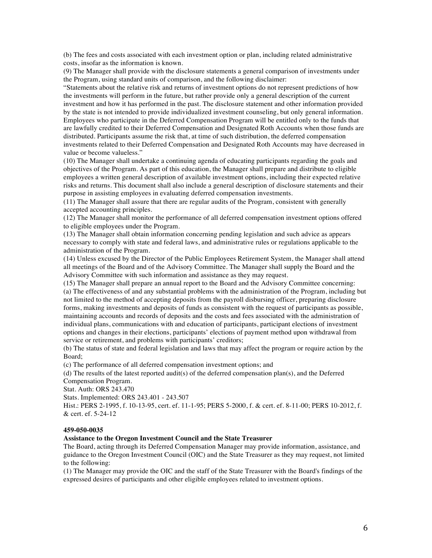(b) The fees and costs associated with each investment option or plan, including related administrative costs, insofar as the information is known.

(9) The Manager shall provide with the disclosure statements a general comparison of investments under the Program, using standard units of comparison, and the following disclaimer:

"Statements about the relative risk and returns of investment options do not represent predictions of how the investments will perform in the future, but rather provide only a general description of the current investment and how it has performed in the past. The disclosure statement and other information provided by the state is not intended to provide individualized investment counseling, but only general information. Employees who participate in the Deferred Compensation Program will be entitled only to the funds that are lawfully credited to their Deferred Compensation and Designated Roth Accounts when those funds are distributed. Participants assume the risk that, at time of such distribution, the deferred compensation investments related to their Deferred Compensation and Designated Roth Accounts may have decreased in value or become valueless."

(10) The Manager shall undertake a continuing agenda of educating participants regarding the goals and objectives of the Program. As part of this education, the Manager shall prepare and distribute to eligible employees a written general description of available investment options, including their expected relative risks and returns. This document shall also include a general description of disclosure statements and their purpose in assisting employees in evaluating deferred compensation investments.

(11) The Manager shall assure that there are regular audits of the Program, consistent with generally accepted accounting principles.

(12) The Manager shall monitor the performance of all deferred compensation investment options offered to eligible employees under the Program.

(13) The Manager shall obtain information concerning pending legislation and such advice as appears necessary to comply with state and federal laws, and administrative rules or regulations applicable to the administration of the Program.

(14) Unless excused by the Director of the Public Employees Retirement System, the Manager shall attend all meetings of the Board and of the Advisory Committee. The Manager shall supply the Board and the Advisory Committee with such information and assistance as they may request.

(15) The Manager shall prepare an annual report to the Board and the Advisory Committee concerning: (a) The effectiveness of and any substantial problems with the administration of the Program, including but not limited to the method of accepting deposits from the payroll disbursing officer, preparing disclosure forms, making investments and deposits of funds as consistent with the request of participants as possible, maintaining accounts and records of deposits and the costs and fees associated with the administration of individual plans, communications with and education of participants, participant elections of investment options and changes in their elections, participants' elections of payment method upon withdrawal from service or retirement, and problems with participants' creditors;

(b) The status of state and federal legislation and laws that may affect the program or require action by the Board;

(c) The performance of all deferred compensation investment options; and

(d) The results of the latest reported audit(s) of the deferred compensation plan(s), and the Deferred Compensation Program.

Stat. Auth: ORS 243.470

Stats. Implemented: ORS 243.401 - 243.507

Hist.: PERS 2-1995, f. 10-13-95, cert. ef. 11-1-95; PERS 5-2000, f. & cert. ef. 8-11-00; PERS 10-2012, f. & cert. ef. 5-24-12

## **459-050-0035**

## **Assistance to the Oregon Investment Council and the State Treasurer**

The Board, acting through its Deferred Compensation Manager may provide information, assistance, and guidance to the Oregon Investment Council (OIC) and the State Treasurer as they may request, not limited to the following:

(1) The Manager may provide the OIC and the staff of the State Treasurer with the Board's findings of the expressed desires of participants and other eligible employees related to investment options.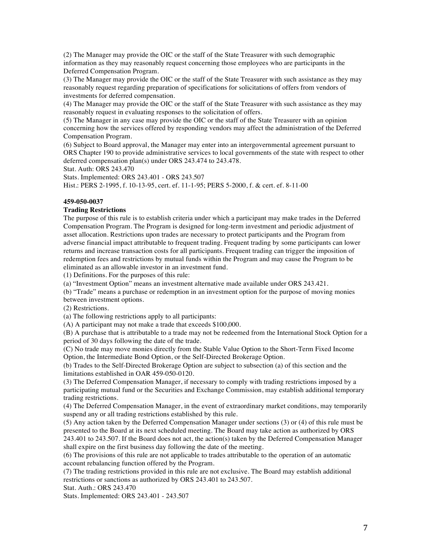(2) The Manager may provide the OIC or the staff of the State Treasurer with such demographic information as they may reasonably request concerning those employees who are participants in the Deferred Compensation Program.

(3) The Manager may provide the OIC or the staff of the State Treasurer with such assistance as they may reasonably request regarding preparation of specifications for solicitations of offers from vendors of investments for deferred compensation.

(4) The Manager may provide the OIC or the staff of the State Treasurer with such assistance as they may reasonably request in evaluating responses to the solicitation of offers.

(5) The Manager in any case may provide the OIC or the staff of the State Treasurer with an opinion concerning how the services offered by responding vendors may affect the administration of the Deferred Compensation Program.

(6) Subject to Board approval, the Manager may enter into an intergovernmental agreement pursuant to ORS Chapter 190 to provide administrative services to local governments of the state with respect to other deferred compensation plan(s) under ORS 243.474 to 243.478.

Stat. Auth: ORS 243.470

Stats. Implemented: ORS 243.401 - ORS 243.507 Hist.: PERS 2-1995, f. 10-13-95, cert. ef. 11-1-95; PERS 5-2000, f. & cert. ef. 8-11-00

## **459-050-0037**

## **Trading Restrictions**

The purpose of this rule is to establish criteria under which a participant may make trades in the Deferred Compensation Program. The Program is designed for long-term investment and periodic adjustment of asset allocation. Restrictions upon trades are necessary to protect participants and the Program from adverse financial impact attributable to frequent trading. Frequent trading by some participants can lower returns and increase transaction costs for all participants. Frequent trading can trigger the imposition of redemption fees and restrictions by mutual funds within the Program and may cause the Program to be eliminated as an allowable investor in an investment fund.

(1) Definitions. For the purposes of this rule:

(a) "Investment Option" means an investment alternative made available under ORS 243.421.

(b) "Trade" means a purchase or redemption in an investment option for the purpose of moving monies between investment options.

(2) Restrictions.

(a) The following restrictions apply to all participants:

(A) A participant may not make a trade that exceeds \$100,000.

(B) A purchase that is attributable to a trade may not be redeemed from the International Stock Option for a period of 30 days following the date of the trade.

(C) No trade may move monies directly from the Stable Value Option to the Short-Term Fixed Income Option, the Intermediate Bond Option, or the Self-Directed Brokerage Option.

(b) Trades to the Self-Directed Brokerage Option are subject to subsection (a) of this section and the limitations established in OAR 459-050-0120.

(3) The Deferred Compensation Manager, if necessary to comply with trading restrictions imposed by a participating mutual fund or the Securities and Exchange Commission, may establish additional temporary trading restrictions.

(4) The Deferred Compensation Manager, in the event of extraordinary market conditions, may temporarily suspend any or all trading restrictions established by this rule.

(5) Any action taken by the Deferred Compensation Manager under sections (3) or (4) of this rule must be presented to the Board at its next scheduled meeting. The Board may take action as authorized by ORS 243.401 to 243.507. If the Board does not act, the action(s) taken by the Deferred Compensation Manager shall expire on the first business day following the date of the meeting.

(6) The provisions of this rule are not applicable to trades attributable to the operation of an automatic account rebalancing function offered by the Program.

(7) The trading restrictions provided in this rule are not exclusive. The Board may establish additional restrictions or sanctions as authorized by ORS 243.401 to 243.507.

Stat. Auth.: ORS 243.470

Stats. Implemented: ORS 243.401 - 243.507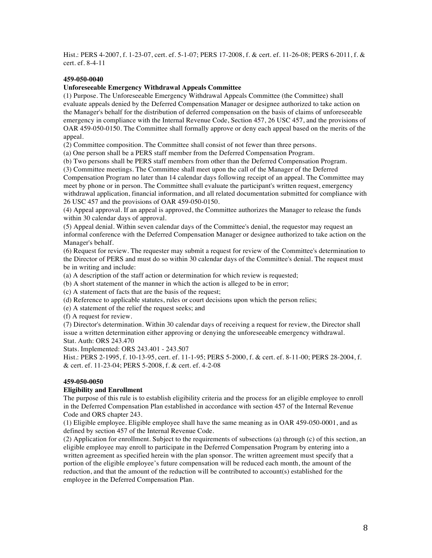Hist.: PERS 4-2007, f. 1-23-07, cert. ef. 5-1-07; PERS 17-2008, f. & cert. ef. 11-26-08; PERS 6-2011, f. & cert. ef. 8-4-11

## **459-050-0040**

## **Unforeseeable Emergency Withdrawal Appeals Committee**

(1) Purpose. The Unforeseeable Emergency Withdrawal Appeals Committee (the Committee) shall evaluate appeals denied by the Deferred Compensation Manager or designee authorized to take action on the Manager's behalf for the distribution of deferred compensation on the basis of claims of unforeseeable emergency in compliance with the Internal Revenue Code, Section 457, 26 USC 457, and the provisions of OAR 459-050-0150. The Committee shall formally approve or deny each appeal based on the merits of the appeal.

(2) Committee composition. The Committee shall consist of not fewer than three persons.

(a) One person shall be a PERS staff member from the Deferred Compensation Program.

(b) Two persons shall be PERS staff members from other than the Deferred Compensation Program.

(3) Committee meetings. The Committee shall meet upon the call of the Manager of the Deferred

Compensation Program no later than 14 calendar days following receipt of an appeal. The Committee may meet by phone or in person. The Committee shall evaluate the participant's written request, emergency withdrawal application, financial information, and all related documentation submitted for compliance with 26 USC 457 and the provisions of OAR 459-050-0150.

(4) Appeal approval. If an appeal is approved, the Committee authorizes the Manager to release the funds within 30 calendar days of approval.

(5) Appeal denial. Within seven calendar days of the Committee's denial, the requestor may request an informal conference with the Deferred Compensation Manager or designee authorized to take action on the Manager's behalf.

(6) Request for review. The requester may submit a request for review of the Committee's determination to the Director of PERS and must do so within 30 calendar days of the Committee's denial. The request must be in writing and include:

(a) A description of the staff action or determination for which review is requested;

(b) A short statement of the manner in which the action is alleged to be in error;

(c) A statement of facts that are the basis of the request;

(d) Reference to applicable statutes, rules or court decisions upon which the person relies;

(e) A statement of the relief the request seeks; and

(f) A request for review.

(7) Director's determination. Within 30 calendar days of receiving a request for review, the Director shall issue a written determination either approving or denying the unforeseeable emergency withdrawal. Stat. Auth: ORS 243.470

Stats. Implemented: ORS 243.401 - 243.507

Hist.: PERS 2-1995, f. 10-13-95, cert. ef. 11-1-95; PERS 5-2000, f. & cert. ef. 8-11-00; PERS 28-2004, f. & cert. ef. 11-23-04; PERS 5-2008, f. & cert. ef. 4-2-08

## **459-050-0050**

## **Eligibility and Enrollment**

The purpose of this rule is to establish eligibility criteria and the process for an eligible employee to enroll in the Deferred Compensation Plan established in accordance with section 457 of the Internal Revenue Code and ORS chapter 243.

(1) Eligible employee. Eligible employee shall have the same meaning as in OAR 459-050-0001, and as defined by section 457 of the Internal Revenue Code.

(2) Application for enrollment. Subject to the requirements of subsections (a) through (c) of this section, an eligible employee may enroll to participate in the Deferred Compensation Program by entering into a written agreement as specified herein with the plan sponsor. The written agreement must specify that a portion of the eligible employee's future compensation will be reduced each month, the amount of the reduction, and that the amount of the reduction will be contributed to account(s) established for the employee in the Deferred Compensation Plan.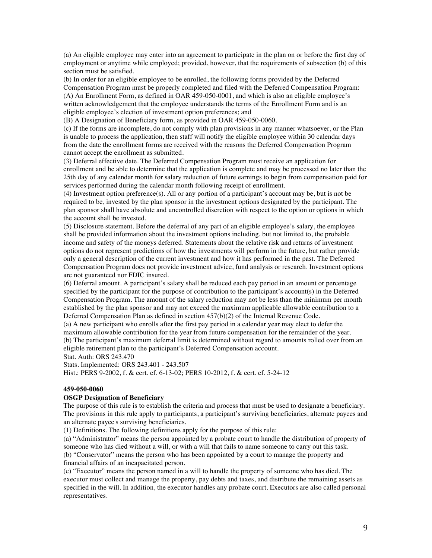(a) An eligible employee may enter into an agreement to participate in the plan on or before the first day of employment or anytime while employed; provided, however, that the requirements of subsection (b) of this section must be satisfied.

(b) In order for an eligible employee to be enrolled, the following forms provided by the Deferred Compensation Program must be properly completed and filed with the Deferred Compensation Program: (A) An Enrollment Form, as defined in OAR 459-050-0001, and which is also an eligible employee's written acknowledgement that the employee understands the terms of the Enrollment Form and is an eligible employee's election of investment option preferences; and

(B) A Designation of Beneficiary form, as provided in OAR 459-050-0060.

(c) If the forms are incomplete, do not comply with plan provisions in any manner whatsoever, or the Plan is unable to process the application, then staff will notify the eligible employee within 30 calendar days from the date the enrollment forms are received with the reasons the Deferred Compensation Program cannot accept the enrollment as submitted.

(3) Deferral effective date. The Deferred Compensation Program must receive an application for enrollment and be able to determine that the application is complete and may be processed no later than the 25th day of any calendar month for salary reduction of future earnings to begin from compensation paid for services performed during the calendar month following receipt of enrollment.

(4) Investment option preference(s). All or any portion of a participant's account may be, but is not be required to be, invested by the plan sponsor in the investment options designated by the participant. The plan sponsor shall have absolute and uncontrolled discretion with respect to the option or options in which the account shall be invested.

(5) Disclosure statement. Before the deferral of any part of an eligible employee's salary, the employee shall be provided information about the investment options including, but not limited to, the probable income and safety of the moneys deferred. Statements about the relative risk and returns of investment options do not represent predictions of how the investments will perform in the future, but rather provide only a general description of the current investment and how it has performed in the past. The Deferred Compensation Program does not provide investment advice, fund analysis or research. Investment options are not guaranteed nor FDIC insured.

(6) Deferral amount. A participant's salary shall be reduced each pay period in an amount or percentage specified by the participant for the purpose of contribution to the participant's account(s) in the Deferred Compensation Program. The amount of the salary reduction may not be less than the minimum per month established by the plan sponsor and may not exceed the maximum applicable allowable contribution to a Deferred Compensation Plan as defined in section 457(b)(2) of the Internal Revenue Code.

(a) A new participant who enrolls after the first pay period in a calendar year may elect to defer the maximum allowable contribution for the year from future compensation for the remainder of the year. (b) The participant's maximum deferral limit is determined without regard to amounts rolled over from an eligible retirement plan to the participant's Deferred Compensation account.

Stat. Auth: ORS 243.470

Stats. Implemented: ORS 243.401 - 243.507

Hist.: PERS 9-2002, f. & cert. ef. 6-13-02; PERS 10-2012, f. & cert. ef. 5-24-12

## **459-050-0060**

## **OSGP Designation of Beneficiary**

The purpose of this rule is to establish the criteria and process that must be used to designate a beneficiary. The provisions in this rule apply to participants, a participant's surviving beneficiaries, alternate payees and an alternate payee's surviving beneficiaries.

(1) Definitions. The following definitions apply for the purpose of this rule:

(a) "Administrator" means the person appointed by a probate court to handle the distribution of property of someone who has died without a will, or with a will that fails to name someone to carry out this task. (b) "Conservator" means the person who has been appointed by a court to manage the property and financial affairs of an incapacitated person.

(c) "Executor" means the person named in a will to handle the property of someone who has died. The executor must collect and manage the property, pay debts and taxes, and distribute the remaining assets as specified in the will. In addition, the executor handles any probate court. Executors are also called personal representatives.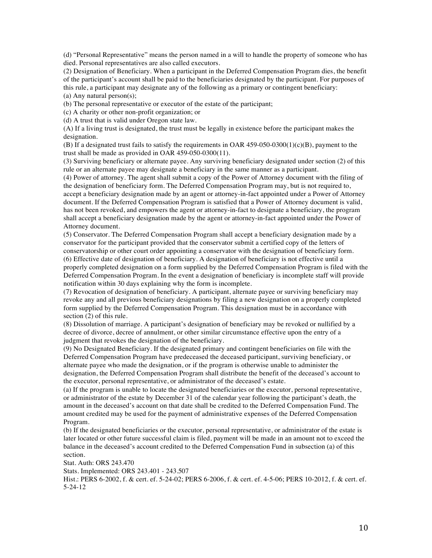(d) "Personal Representative" means the person named in a will to handle the property of someone who has died. Personal representatives are also called executors.

(2) Designation of Beneficiary. When a participant in the Deferred Compensation Program dies, the benefit of the participant's account shall be paid to the beneficiaries designated by the participant. For purposes of this rule, a participant may designate any of the following as a primary or contingent beneficiary:

(a) Any natural person(s);

(b) The personal representative or executor of the estate of the participant;

(c) A charity or other non-profit organization; or

(d) A trust that is valid under Oregon state law.

(A) If a living trust is designated, the trust must be legally in existence before the participant makes the designation.

(B) If a designated trust fails to satisfy the requirements in OAR 459-050-0300(1)(c)(B), payment to the trust shall be made as provided in OAR 459-050-0300(11).

(3) Surviving beneficiary or alternate payee. Any surviving beneficiary designated under section (2) of this rule or an alternate payee may designate a beneficiary in the same manner as a participant.

(4) Power of attorney. The agent shall submit a copy of the Power of Attorney document with the filing of the designation of beneficiary form. The Deferred Compensation Program may, but is not required to, accept a beneficiary designation made by an agent or attorney-in-fact appointed under a Power of Attorney document. If the Deferred Compensation Program is satisfied that a Power of Attorney document is valid, has not been revoked, and empowers the agent or attorney-in-fact to designate a beneficiary, the program shall accept a beneficiary designation made by the agent or attorney-in-fact appointed under the Power of Attorney document.

(5) Conservator. The Deferred Compensation Program shall accept a beneficiary designation made by a conservator for the participant provided that the conservator submit a certified copy of the letters of conservatorship or other court order appointing a conservator with the designation of beneficiary form. (6) Effective date of designation of beneficiary. A designation of beneficiary is not effective until a properly completed designation on a form supplied by the Deferred Compensation Program is filed with the Deferred Compensation Program. In the event a designation of beneficiary is incomplete staff will provide notification within 30 days explaining why the form is incomplete.

(7) Revocation of designation of beneficiary. A participant, alternate payee or surviving beneficiary may revoke any and all previous beneficiary designations by filing a new designation on a properly completed form supplied by the Deferred Compensation Program. This designation must be in accordance with section (2) of this rule.

(8) Dissolution of marriage. A participant's designation of beneficiary may be revoked or nullified by a decree of divorce, decree of annulment, or other similar circumstance effective upon the entry of a judgment that revokes the designation of the beneficiary.

(9) No Designated Beneficiary. If the designated primary and contingent beneficiaries on file with the Deferred Compensation Program have predeceased the deceased participant, surviving beneficiary, or alternate payee who made the designation, or if the program is otherwise unable to administer the designation, the Deferred Compensation Program shall distribute the benefit of the deceased's account to the executor, personal representative, or administrator of the deceased's estate.

(a) If the program is unable to locate the designated beneficiaries or the executor, personal representative, or administrator of the estate by December 31 of the calendar year following the participant's death, the amount in the deceased's account on that date shall be credited to the Deferred Compensation Fund. The amount credited may be used for the payment of administrative expenses of the Deferred Compensation Program.

(b) If the designated beneficiaries or the executor, personal representative, or administrator of the estate is later located or other future successful claim is filed, payment will be made in an amount not to exceed the balance in the deceased's account credited to the Deferred Compensation Fund in subsection (a) of this section.

Stat. Auth: ORS 243.470

Stats. Implemented: ORS 243.401 - 243.507

Hist.: PERS 6-2002, f. & cert. ef. 5-24-02; PERS 6-2006, f. & cert. ef. 4-5-06; PERS 10-2012, f. & cert. ef. 5-24-12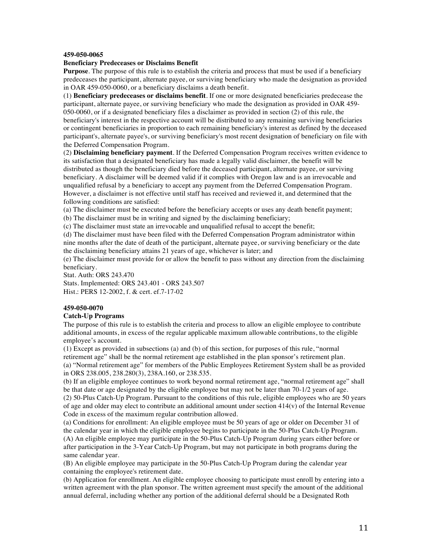#### **459-050-0065**

#### **Beneficiary Predeceases or Disclaims Benefit**

**Purpose**. The purpose of this rule is to establish the criteria and process that must be used if a beneficiary predeceases the participant, alternate payee, or surviving beneficiary who made the designation as provided in OAR 459-050-0060, or a beneficiary disclaims a death benefit.

(1) **Beneficiary predeceases or disclaims benefit**. If one or more designated beneficiaries predecease the participant, alternate payee, or surviving beneficiary who made the designation as provided in OAR 459- 050-0060, or if a designated beneficiary files a disclaimer as provided in section (2) of this rule, the beneficiary's interest in the respective account will be distributed to any remaining surviving beneficiaries or contingent beneficiaries in proportion to each remaining beneficiary's interest as defined by the deceased participant's, alternate payee's, or surviving beneficiary's most recent designation of beneficiary on file with the Deferred Compensation Program.

(2) **Disclaiming beneficiary payment**. If the Deferred Compensation Program receives written evidence to its satisfaction that a designated beneficiary has made a legally valid disclaimer, the benefit will be distributed as though the beneficiary died before the deceased participant, alternate payee, or surviving beneficiary. A disclaimer will be deemed valid if it complies with Oregon law and is an irrevocable and unqualified refusal by a beneficiary to accept any payment from the Deferred Compensation Program. However, a disclaimer is not effective until staff has received and reviewed it, and determined that the following conditions are satisfied:

(a) The disclaimer must be executed before the beneficiary accepts or uses any death benefit payment;

(b) The disclaimer must be in writing and signed by the disclaiming beneficiary;

(c) The disclaimer must state an irrevocable and unqualified refusal to accept the benefit;

(d) The disclaimer must have been filed with the Deferred Compensation Program administrator within nine months after the date of death of the participant, alternate payee, or surviving beneficiary or the date the disclaiming beneficiary attains 21 years of age, whichever is later; and

(e) The disclaimer must provide for or allow the benefit to pass without any direction from the disclaiming beneficiary.

Stat. Auth: ORS 243.470 Stats. Implemented: ORS 243.401 - ORS 243.507 Hist.: PERS 12-2002, f. & cert. ef.7-17-02

## **459-050-0070**

## **Catch-Up Programs**

The purpose of this rule is to establish the criteria and process to allow an eligible employee to contribute additional amounts, in excess of the regular applicable maximum allowable contributions, to the eligible employee's account.

(1) Except as provided in subsections (a) and (b) of this section, for purposes of this rule, "normal retirement age" shall be the normal retirement age established in the plan sponsor's retirement plan. (a) "Normal retirement age" for members of the Public Employees Retirement System shall be as provided in ORS 238.005, 238.280(3), 238A.160, or 238.535.

(b) If an eligible employee continues to work beyond normal retirement age, "normal retirement age" shall be that date or age designated by the eligible employee but may not be later than 70-1/2 years of age.

(2) 50-Plus Catch-Up Program. Pursuant to the conditions of this rule, eligible employees who are 50 years of age and older may elect to contribute an additional amount under section  $414(v)$  of the Internal Revenue Code in excess of the maximum regular contribution allowed.

(a) Conditions for enrollment: An eligible employee must be 50 years of age or older on December 31 of the calendar year in which the eligible employee begins to participate in the 50-Plus Catch-Up Program. (A) An eligible employee may participate in the 50-Plus Catch-Up Program during years either before or after participation in the 3-Year Catch-Up Program, but may not participate in both programs during the same calendar year.

(B) An eligible employee may participate in the 50-Plus Catch-Up Program during the calendar year containing the employee's retirement date.

(b) Application for enrollment. An eligible employee choosing to participate must enroll by entering into a written agreement with the plan sponsor. The written agreement must specify the amount of the additional annual deferral, including whether any portion of the additional deferral should be a Designated Roth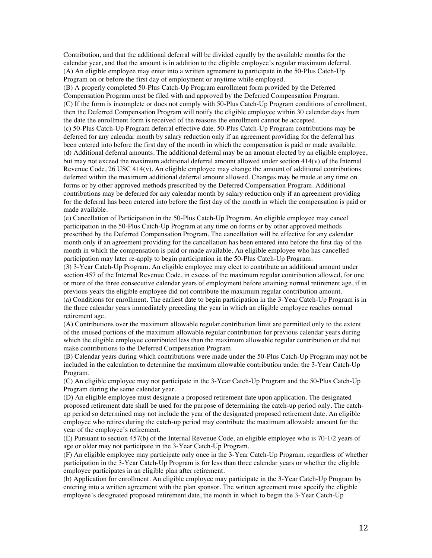Contribution, and that the additional deferral will be divided equally by the available months for the calendar year, and that the amount is in addition to the eligible employee's regular maximum deferral. (A) An eligible employee may enter into a written agreement to participate in the 50-Plus Catch-Up Program on or before the first day of employment or anytime while employed.

(B) A properly completed 50-Plus Catch-Up Program enrollment form provided by the Deferred Compensation Program must be filed with and approved by the Deferred Compensation Program. (C) If the form is incomplete or does not comply with 50-Plus Catch-Up Program conditions of enrollment, then the Deferred Compensation Program will notify the eligible employee within 30 calendar days from the date the enrollment form is received of the reasons the enrollment cannot be accepted.

(c) 50-Plus Catch-Up Program deferral effective date. 50-Plus Catch-Up Program contributions may be deferred for any calendar month by salary reduction only if an agreement providing for the deferral has been entered into before the first day of the month in which the compensation is paid or made available. (d) Additional deferral amounts. The additional deferral may be an amount elected by an eligible employee, but may not exceed the maximum additional deferral amount allowed under section 414(v) of the Internal Revenue Code,  $26 \text{ USC } 414(\text{v})$ . An eligible employee may change the amount of additional contributions deferred within the maximum additional deferral amount allowed. Changes may be made at any time on forms or by other approved methods prescribed by the Deferred Compensation Program. Additional contributions may be deferred for any calendar month by salary reduction only if an agreement providing for the deferral has been entered into before the first day of the month in which the compensation is paid or made available.

(e) Cancellation of Participation in the 50-Plus Catch-Up Program. An eligible employee may cancel participation in the 50-Plus Catch-Up Program at any time on forms or by other approved methods prescribed by the Deferred Compensation Program. The cancellation will be effective for any calendar month only if an agreement providing for the cancellation has been entered into before the first day of the month in which the compensation is paid or made available. An eligible employee who has cancelled participation may later re-apply to begin participation in the 50-Plus Catch-Up Program.

(3) 3-Year Catch-Up Program. An eligible employee may elect to contribute an additional amount under section 457 of the Internal Revenue Code, in excess of the maximum regular contribution allowed, for one or more of the three consecutive calendar years of employment before attaining normal retirement age, if in previous years the eligible employee did not contribute the maximum regular contribution amount.

(a) Conditions for enrollment. The earliest date to begin participation in the 3-Year Catch-Up Program is in the three calendar years immediately preceding the year in which an eligible employee reaches normal retirement age.

(A) Contributions over the maximum allowable regular contribution limit are permitted only to the extent of the unused portions of the maximum allowable regular contribution for previous calendar years during which the eligible employee contributed less than the maximum allowable regular contribution or did not make contributions to the Deferred Compensation Program.

(B) Calendar years during which contributions were made under the 50-Plus Catch-Up Program may not be included in the calculation to determine the maximum allowable contribution under the 3-Year Catch-Up Program.

(C) An eligible employee may not participate in the 3-Year Catch-Up Program and the 50-Plus Catch-Up Program during the same calendar year.

(D) An eligible employee must designate a proposed retirement date upon application. The designated proposed retirement date shall be used for the purpose of determining the catch-up period only. The catchup period so determined may not include the year of the designated proposed retirement date. An eligible employee who retires during the catch-up period may contribute the maximum allowable amount for the year of the employee's retirement.

(E) Pursuant to section 457(b) of the Internal Revenue Code, an eligible employee who is 70-1/2 years of age or older may not participate in the 3-Year Catch-Up Program.

(F) An eligible employee may participate only once in the 3-Year Catch-Up Program, regardless of whether participation in the 3-Year Catch-Up Program is for less than three calendar years or whether the eligible employee participates in an eligible plan after retirement.

(b) Application for enrollment. An eligible employee may participate in the 3-Year Catch-Up Program by entering into a written agreement with the plan sponsor. The written agreement must specify the eligible employee's designated proposed retirement date, the month in which to begin the 3-Year Catch-Up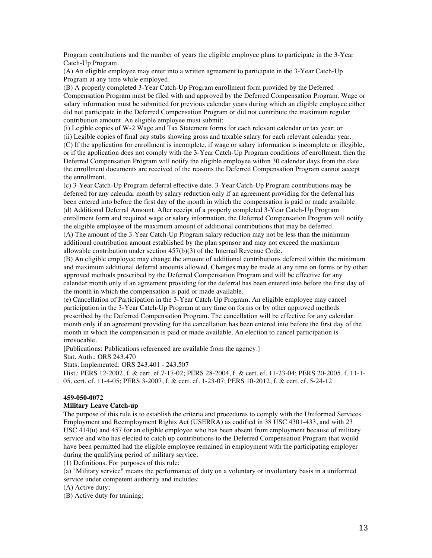Program contributions and the number of years the eligible employee plans to participate in the 3-Year Catch-Up Program.

(A) An eligible employee may enter into a written agreement to participate in the 3-Year Catch-Up Program at any time while employed.

(B) A properly completed 3-Year Catch-Up Program enrollment form provided by the Deferred Compensation Program must be filed with and approved by the Deferred Compensation Program. Wage or salary information must be submitted for previous calendar years during which an eligible employee either did not participate in the Deferred Compensation Program or did not contribute the maximum regular contribution amount. An eligible employee must submit:

(i) Legible copies of W-2 Wage and Tax Statement forms for each relevant calendar or tax year; or

(ii) Legible copies of final pay stubs showing gross and taxable salary for each relevant calendar year. (C) If the application for enrollment is incomplete, if wage or salary information is incomplete or illegible, or if the application does not comply with the 3-Year Catch-Up Program conditions of enrollment, then the Deferred Compensation Program will notify the eligible employee within 30 calendar days from the date the enrollment documents are received of the reasons the Deferred Compensation Program cannot accept the enrollment.

(c) 3-Year Catch-Up Program deferral effective date. 3-Year Catch-Up Program contributions may be deferred for any calendar month by salary reduction only if an agreement providing for the deferral has been entered into before the first day of the month in which the compensation is paid or made available. (d) Additional Deferral Amount. After receipt of a properly completed 3-Year Catch-Up Program enrollment form and required wage or salary information, the Deferred Compensation Program will notify the eligible employee of the maximum amount of additional contributions that may be deferred. (A) The amount of the 3-Year Catch-Up Program salary reduction may not be less than the minimum

additional contribution amount established by the plan sponsor and may not exceed the maximum allowable contribution under section 457(b)(3) of the Internal Revenue Code.

(B) An eligible employee may change the amount of additional contributions deferred within the minimum and maximum additional deferral amounts allowed. Changes may be made at any time on forms or by other approved methods prescribed by the Deferred Compensation Program and will be effective for any calendar month only if an agreement providing for the deferral has been entered into before the first day of the month in which the compensation is paid or made available.

(e) Cancellation of Participation in the 3-Year Catch-Up Program. An eligible employee may cancel participation in the 3-Year Catch-Up Program at any time on forms or by other approved methods prescribed by the Deferred Compensation Program. The cancellation will be effective for any calendar month only if an agreement providing for the cancellation has been entered into before the first day of the month in which the compensation is paid or made available. An election to cancel participation is irrevocable.

[Publications: Publications referenced are available from the agency.]

Stat. Auth.: ORS 243.470

Stats. Implemented: ORS 243.401 - 243.507

Hist.: PERS 12-2002, f. & cert. ef.7-17-02; PERS 28-2004, f. & cert. ef. 11-23-04; PERS 20-2005, f. 11-1- 05, cert. ef. 11-4-05; PERS 3-2007, f. & cert. ef. 1-23-07; PERS 10-2012, f. & cert. ef. 5-24-12

## **459-050-0072**

#### **Military Leave Catch-up**

The purpose of this rule is to establish the criteria and procedures to comply with the Uniformed Services Employment and Reemployment Rights Act (USERRA) as codified in 38 USC 4301-433, and with 23 USC 414(u) and 457 for an eligible employee who has been absent from employment because of military service and who has elected to catch up contributions to the Deferred Compensation Program that would have been permitted had the eligible employee remained in employment with the participating employer during the qualifying period of military service.

(1) Definitions. For purposes of this rule:

(a) "Military service" means the performance of duty on a voluntary or involuntary basis in a uniformed service under competent authority and includes:

(A) Active duty;

(B) Active duty for training;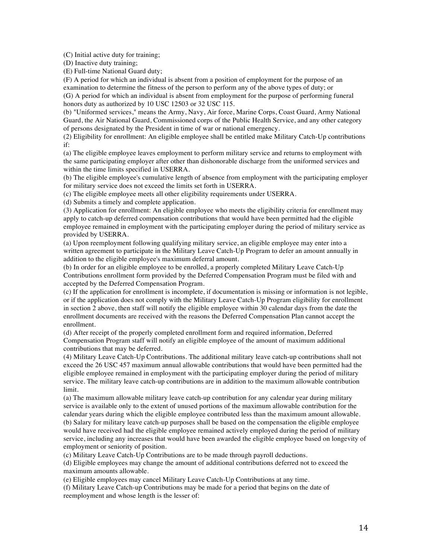(C) Initial active duty for training;

(D) Inactive duty training;

(E) Full-time National Guard duty;

(F) A period for which an individual is absent from a position of employment for the purpose of an examination to determine the fitness of the person to perform any of the above types of duty; or

(G) A period for which an individual is absent from employment for the purpose of performing funeral honors duty as authorized by 10 USC 12503 or 32 USC 115.

(b) "Uniformed services," means the Army, Navy, Air force, Marine Corps, Coast Guard, Army National Guard, the Air National Guard, Commissioned corps of the Public Health Service, and any other category of persons designated by the President in time of war or national emergency.

(2) Eligibility for enrollment: An eligible employee shall be entitled make Military Catch-Up contributions if:

(a) The eligible employee leaves employment to perform military service and returns to employment with the same participating employer after other than dishonorable discharge from the uniformed services and within the time limits specified in USERRA.

(b) The eligible employee's cumulative length of absence from employment with the participating employer for military service does not exceed the limits set forth in USERRA.

(c) The eligible employee meets all other eligibility requirements under USERRA.

(d) Submits a timely and complete application.

(3) Application for enrollment: An eligible employee who meets the eligibility criteria for enrollment may apply to catch-up deferred compensation contributions that would have been permitted had the eligible employee remained in employment with the participating employer during the period of military service as provided by USERRA.

(a) Upon reemployment following qualifying military service, an eligible employee may enter into a written agreement to participate in the Military Leave Catch-Up Program to defer an amount annually in addition to the eligible employee's maximum deferral amount.

(b) In order for an eligible employee to be enrolled, a properly completed Military Leave Catch-Up Contributions enrollment form provided by the Deferred Compensation Program must be filed with and accepted by the Deferred Compensation Program.

(c) If the application for enrollment is incomplete, if documentation is missing or information is not legible, or if the application does not comply with the Military Leave Catch-Up Program eligibility for enrollment in section 2 above, then staff will notify the eligible employee within 30 calendar days from the date the enrollment documents are received with the reasons the Deferred Compensation Plan cannot accept the enrollment.

(d) After receipt of the properly completed enrollment form and required information, Deferred Compensation Program staff will notify an eligible employee of the amount of maximum additional contributions that may be deferred.

(4) Military Leave Catch-Up Contributions. The additional military leave catch-up contributions shall not exceed the 26 USC 457 maximum annual allowable contributions that would have been permitted had the eligible employee remained in employment with the participating employer during the period of military service. The military leave catch-up contributions are in addition to the maximum allowable contribution limit.

(a) The maximum allowable military leave catch-up contribution for any calendar year during military service is available only to the extent of unused portions of the maximum allowable contribution for the calendar years during which the eligible employee contributed less than the maximum amount allowable. (b) Salary for military leave catch-up purposes shall be based on the compensation the eligible employee would have received had the eligible employee remained actively employed during the period of military service, including any increases that would have been awarded the eligible employee based on longevity of employment or seniority of position.

(c) Military Leave Catch-Up Contributions are to be made through payroll deductions.

(d) Eligible employees may change the amount of additional contributions deferred not to exceed the maximum amounts allowable.

(e) Eligible employees may cancel Military Leave Catch-Up Contributions at any time.

(f) Military Leave Catch-up Contributions may be made for a period that begins on the date of reemployment and whose length is the lesser of: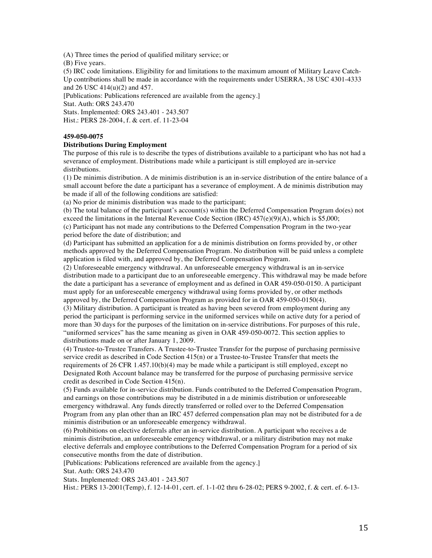(A) Three times the period of qualified military service; or

(B) Five years.

(5) IRC code limitations. Eligibility for and limitations to the maximum amount of Military Leave Catch-Up contributions shall be made in accordance with the requirements under USERRA, 38 USC 4301-4333 and 26 USC 414(u)(2) and 457.

[Publications: Publications referenced are available from the agency.] Stat. Auth: ORS 243.470 Stats. Implemented: ORS 243.401 - 243.507

Hist.: PERS 28-2004, f. & cert. ef. 11-23-04

## **459-050-0075**

## **Distributions During Employment**

The purpose of this rule is to describe the types of distributions available to a participant who has not had a severance of employment. Distributions made while a participant is still employed are in-service distributions.

(1) De minimis distribution. A de minimis distribution is an in-service distribution of the entire balance of a small account before the date a participant has a severance of employment. A de minimis distribution may be made if all of the following conditions are satisfied:

(a) No prior de minimis distribution was made to the participant;

(b) The total balance of the participant's account(s) within the Deferred Compensation Program do(es) not exceed the limitations in the Internal Revenue Code Section (IRC)  $457(e)(9)(A)$ , which is \$5,000;

(c) Participant has not made any contributions to the Deferred Compensation Program in the two-year period before the date of distribution; and

(d) Participant has submitted an application for a de minimis distribution on forms provided by, or other methods approved by the Deferred Compensation Program. No distribution will be paid unless a complete application is filed with, and approved by, the Deferred Compensation Program.

(2) Unforeseeable emergency withdrawal. An unforeseeable emergency withdrawal is an in-service distribution made to a participant due to an unforeseeable emergency. This withdrawal may be made before the date a participant has a severance of employment and as defined in OAR 459-050-0150. A participant must apply for an unforeseeable emergency withdrawal using forms provided by, or other methods approved by, the Deferred Compensation Program as provided for in OAR 459-050-0150(4).

(3) Military distribution. A participant is treated as having been severed from employment during any period the participant is performing service in the uniformed services while on active duty for a period of more than 30 days for the purposes of the limitation on in-service distributions. For purposes of this rule, "uniformed services" has the same meaning as given in OAR 459-050-0072. This section applies to distributions made on or after January 1, 2009.

(4) Trustee-to-Trustee Transfers. A Trustee-to-Trustee Transfer for the purpose of purchasing permissive service credit as described in Code Section 415(n) or a Trustee-to-Trustee Transfer that meets the requirements of 26 CFR 1.457.10(b)(4) may be made while a participant is still employed, except no Designated Roth Account balance may be transferred for the purpose of purchasing permissive service credit as described in Code Section 415(n).

(5) Funds available for in-service distribution. Funds contributed to the Deferred Compensation Program, and earnings on those contributions may be distributed in a de minimis distribution or unforeseeable emergency withdrawal. Any funds directly transferred or rolled over to the Deferred Compensation Program from any plan other than an IRC 457 deferred compensation plan may not be distributed for a de minimis distribution or an unforeseeable emergency withdrawal.

(6) Prohibitions on elective deferrals after an in-service distribution. A participant who receives a de minimis distribution, an unforeseeable emergency withdrawal, or a military distribution may not make elective deferrals and employee contributions to the Deferred Compensation Program for a period of six consecutive months from the date of distribution.

[Publications: Publications referenced are available from the agency.]

Stat. Auth: ORS 243.470

Stats. Implemented: ORS 243.401 - 243.507

Hist.: PERS 13-2001(Temp), f. 12-14-01, cert. ef. 1-1-02 thru 6-28-02; PERS 9-2002, f. & cert. ef. 6-13-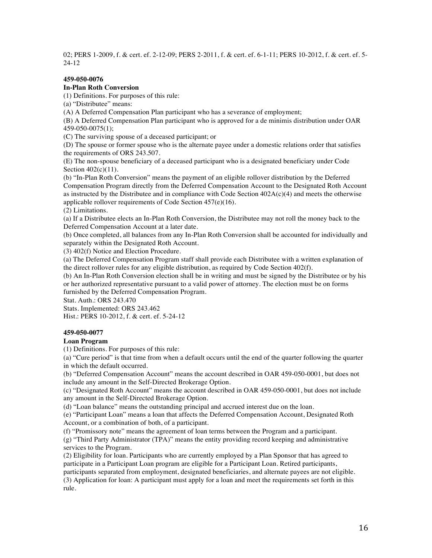02; PERS 1-2009, f. & cert. ef. 2-12-09; PERS 2-2011, f. & cert. ef. 6-1-11; PERS 10-2012, f. & cert. ef. 5- 24-12

## **459-050-0076**

## **In-Plan Roth Conversion**

(1) Definitions. For purposes of this rule:

(a) "Distributee" means:

(A) A Deferred Compensation Plan participant who has a severance of employment;

(B) A Deferred Compensation Plan participant who is approved for a de minimis distribution under OAR 459-050-0075(1);

(C) The surviving spouse of a deceased participant; or

(D) The spouse or former spouse who is the alternate payee under a domestic relations order that satisfies the requirements of ORS 243.507.

(E) The non-spouse beneficiary of a deceased participant who is a designated beneficiary under Code Section 402(c)(11).

(b) "In-Plan Roth Conversion" means the payment of an eligible rollover distribution by the Deferred Compensation Program directly from the Deferred Compensation Account to the Designated Roth Account as instructed by the Distributee and in compliance with Code Section 402A(c)(4) and meets the otherwise applicable rollover requirements of Code Section 457(e)(16).

(2) Limitations.

(a) If a Distributee elects an In-Plan Roth Conversion, the Distributee may not roll the money back to the Deferred Compensation Account at a later date.

(b) Once completed, all balances from any In-Plan Roth Conversion shall be accounted for individually and separately within the Designated Roth Account.

(3) 402(f) Notice and Election Procedure.

(a) The Deferred Compensation Program staff shall provide each Distributee with a written explanation of the direct rollover rules for any eligible distribution, as required by Code Section 402(f).

(b) An In-Plan Roth Conversion election shall be in writing and must be signed by the Distributee or by his or her authorized representative pursuant to a valid power of attorney. The election must be on forms furnished by the Deferred Compensation Program.

Stat. Auth.: ORS 243.470

Stats. Implemented: ORS 243.462

Hist.: PERS 10-2012, f. & cert. ef. 5-24-12

## **459-050-0077**

## **Loan Program**

(1) Definitions. For purposes of this rule:

(a) "Cure period" is that time from when a default occurs until the end of the quarter following the quarter in which the default occurred.

(b) "Deferred Compensation Account" means the account described in OAR 459-050-0001, but does not include any amount in the Self-Directed Brokerage Option.

(c) "Designated Roth Account" means the account described in OAR 459-050-0001, but does not include any amount in the Self-Directed Brokerage Option.

(d) "Loan balance" means the outstanding principal and accrued interest due on the loan.

(e) "Participant Loan" means a loan that affects the Deferred Compensation Account, Designated Roth Account, or a combination of both, of a participant.

(f) "Promissory note" means the agreement of loan terms between the Program and a participant.

(g) "Third Party Administrator (TPA)" means the entity providing record keeping and administrative services to the Program.

(2) Eligibility for loan. Participants who are currently employed by a Plan Sponsor that has agreed to participate in a Participant Loan program are eligible for a Participant Loan. Retired participants, participants separated from employment, designated beneficiaries, and alternate payees are not eligible.

(3) Application for loan: A participant must apply for a loan and meet the requirements set forth in this rule.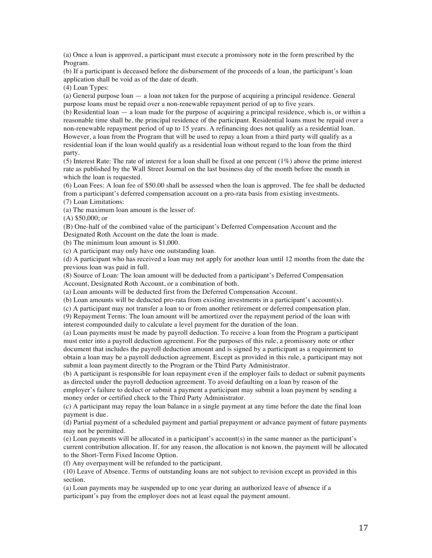(a) Once a loan is approved, a participant must execute a promissory note in the form prescribed by the Program.

(b) If a participant is deceased before the disbursement of the proceeds of a loan, the participant's loan application shall be void as of the date of death.

(4) Loan Types:

(a) General purpose loan — a loan not taken for the purpose of acquiring a principal residence. General purpose loans must be repaid over a non-renewable repayment period of up to five years.

(b) Residential loan — a loan made for the purpose of acquiring a principal residence, which is, or within a reasonable time shall be, the principal residence of the participant. Residential loans must be repaid over a non-renewable repayment period of up to 15 years. A refinancing does not qualify as a residential loan. However, a loan from the Program that will be used to repay a loan from a third party will qualify as a residential loan if the loan would qualify as a residential loan without regard to the loan from the third party.

(5) Interest Rate: The rate of interest for a loan shall be fixed at one percent (1%) above the prime interest rate as published by the Wall Street Journal on the last business day of the month before the month in which the loan is requested.

(6) Loan Fees: A loan fee of \$50.00 shall be assessed when the loan is approved. The fee shall be deducted from a participant's deferred compensation account on a pro-rata basis from existing investments.

(7) Loan Limitations:

(a) The maximum loan amount is the lesser of:

(A) \$50,000; or

(B) One-half of the combined value of the participant's Deferred Compensation Account and the Designated Roth Account on the date the loan is made.

(b) The minimum loan amount is \$1,000.

(c) A participant may only have one outstanding loan.

(d) A participant who has received a loan may not apply for another loan until 12 months from the date the previous loan was paid in full.

(8) Source of Loan: The loan amount will be deducted from a participant's Deferred Compensation Account, Designated Roth Account, or a combination of both.

(a) Loan amounts will be deducted first from the Deferred Compensation Account.

(b) Loan amounts will be deducted pro-rata from existing investments in a participant's account(s).

(c) A participant may not transfer a loan to or from another retirement or deferred compensation plan.

(9) Repayment Terms: The loan amount will be amortized over the repayment period of the loan with interest compounded daily to calculate a level payment for the duration of the loan.

(a) Loan payments must be made by payroll deduction. To receive a loan from the Program a participant must enter into a payroll deduction agreement. For the purposes of this rule, a promissory note or other document that includes the payroll deduction amount and is signed by a participant as a requirement to obtain a loan may be a payroll deduction agreement. Except as provided in this rule, a participant may not submit a loan payment directly to the Program or the Third Party Administrator.

(b) A participant is responsible for loan repayment even if the employer fails to deduct or submit payments as directed under the payroll deduction agreement. To avoid defaulting on a loan by reason of the

employer's failure to deduct or submit a payment a participant may submit a loan payment by sending a money order or certified check to the Third Party Administrator.

(c) A participant may repay the loan balance in a single payment at any time before the date the final loan payment is due.

(d) Partial payment of a scheduled payment and partial prepayment or advance payment of future payments may not be permitted.

(e) Loan payments will be allocated in a participant's account(s) in the same manner as the participant's current contribution allocation. If, for any reason, the allocation is not known, the payment will be allocated to the Short-Term Fixed Income Option.

(f) Any overpayment will be refunded to the participant.

(10) Leave of Absence. Terms of outstanding loans are not subject to revision except as provided in this section.

(a) Loan payments may be suspended up to one year during an authorized leave of absence if a participant's pay from the employer does not at least equal the payment amount.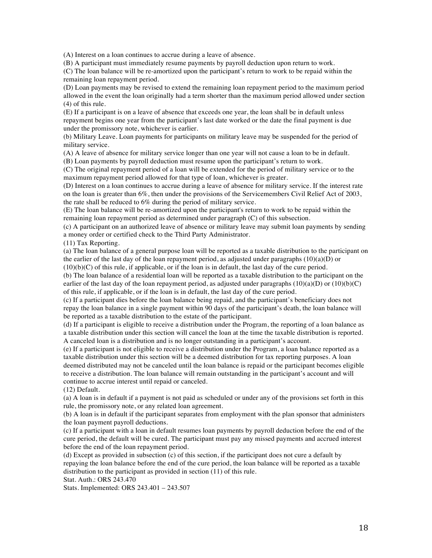(A) Interest on a loan continues to accrue during a leave of absence.

(B) A participant must immediately resume payments by payroll deduction upon return to work.

(C) The loan balance will be re-amortized upon the participant's return to work to be repaid within the remaining loan repayment period.

(D) Loan payments may be revised to extend the remaining loan repayment period to the maximum period allowed in the event the loan originally had a term shorter than the maximum period allowed under section (4) of this rule.

(E) If a participant is on a leave of absence that exceeds one year, the loan shall be in default unless repayment begins one year from the participant's last date worked or the date the final payment is due under the promissory note, whichever is earlier.

(b) Military Leave. Loan payments for participants on military leave may be suspended for the period of military service.

(A) A leave of absence for military service longer than one year will not cause a loan to be in default. (B) Loan payments by payroll deduction must resume upon the participant's return to work.

(C) The original repayment period of a loan will be extended for the period of military service or to the maximum repayment period allowed for that type of loan, whichever is greater.

(D) Interest on a loan continues to accrue during a leave of absence for military service. If the interest rate on the loan is greater than 6%, then under the provisions of the Servicemembers Civil Relief Act of 2003, the rate shall be reduced to 6% during the period of military service.

(E) The loan balance will be re-amortized upon the participant's return to work to be repaid within the remaining loan repayment period as determined under paragraph (C) of this subsection.

(c) A participant on an authorized leave of absence or military leave may submit loan payments by sending a money order or certified check to the Third Party Administrator.

(11) Tax Reporting.

(a) The loan balance of a general purpose loan will be reported as a taxable distribution to the participant on the earlier of the last day of the loan repayment period, as adjusted under paragraphs  $(10)(a)(D)$  or

 $(10)(b)(C)$  of this rule, if applicable, or if the loan is in default, the last day of the cure period.

(b) The loan balance of a residential loan will be reported as a taxable distribution to the participant on the earlier of the last day of the loan repayment period, as adjusted under paragraphs  $(10)(a)(D)$  or  $(10)(b)(C)$ of this rule, if applicable, or if the loan is in default, the last day of the cure period.

(c) If a participant dies before the loan balance being repaid, and the participant's beneficiary does not repay the loan balance in a single payment within 90 days of the participant's death, the loan balance will be reported as a taxable distribution to the estate of the participant.

(d) If a participant is eligible to receive a distribution under the Program, the reporting of a loan balance as a taxable distribution under this section will cancel the loan at the time the taxable distribution is reported. A canceled loan is a distribution and is no longer outstanding in a participant's account.

(e) If a participant is not eligible to receive a distribution under the Program, a loan balance reported as a taxable distribution under this section will be a deemed distribution for tax reporting purposes. A loan deemed distributed may not be canceled until the loan balance is repaid or the participant becomes eligible to receive a distribution. The loan balance will remain outstanding in the participant's account and will continue to accrue interest until repaid or canceled.

(12) Default.

(a) A loan is in default if a payment is not paid as scheduled or under any of the provisions set forth in this rule, the promissory note, or any related loan agreement.

(b) A loan is in default if the participant separates from employment with the plan sponsor that administers the loan payment payroll deductions.

(c) If a participant with a loan in default resumes loan payments by payroll deduction before the end of the cure period, the default will be cured. The participant must pay any missed payments and accrued interest before the end of the loan repayment period.

(d) Except as provided in subsection (c) of this section, if the participant does not cure a default by repaying the loan balance before the end of the cure period, the loan balance will be reported as a taxable distribution to the participant as provided in section (11) of this rule.

Stat. Auth.: ORS 243.470

Stats. Implemented: ORS 243.401 – 243.507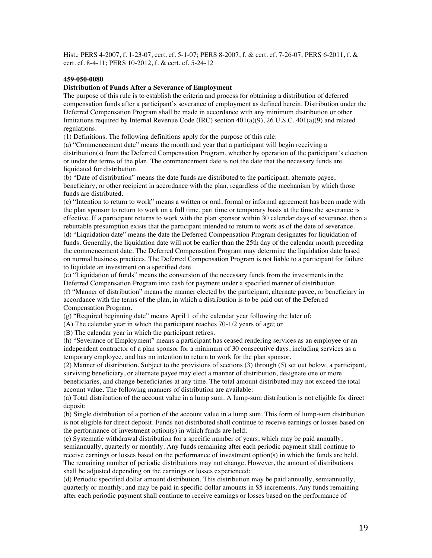Hist.: PERS 4-2007, f. 1-23-07, cert. ef. 5-1-07; PERS 8-2007, f. & cert. ef. 7-26-07; PERS 6-2011, f. & cert. ef. 8-4-11; PERS 10-2012, f. & cert. ef. 5-24-12

## **459-050-0080**

## **Distribution of Funds After a Severance of Employment**

The purpose of this rule is to establish the criteria and process for obtaining a distribution of deferred compensation funds after a participant's severance of employment as defined herein. Distribution under the Deferred Compensation Program shall be made in accordance with any minimum distribution or other limitations required by Internal Revenue Code (IRC) section 401(a)(9), 26 U.S.C. 401(a)(9) and related regulations.

(1) Definitions. The following definitions apply for the purpose of this rule:

(a) "Commencement date" means the month and year that a participant will begin receiving a distribution(s) from the Deferred Compensation Program, whether by operation of the participant's election or under the terms of the plan. The commencement date is not the date that the necessary funds are liquidated for distribution.

(b) "Date of distribution" means the date funds are distributed to the participant, alternate payee, beneficiary, or other recipient in accordance with the plan, regardless of the mechanism by which those funds are distributed.

(c) "Intention to return to work" means a written or oral, formal or informal agreement has been made with the plan sponsor to return to work on a full time, part time or temporary basis at the time the severance is effective. If a participant returns to work with the plan sponsor within 30 calendar days of severance, then a rebuttable presumption exists that the participant intended to return to work as of the date of severance. (d) "Liquidation date" means the date the Deferred Compensation Program designates for liquidation of funds. Generally, the liquidation date will not be earlier than the 25th day of the calendar month preceding the commencement date. The Deferred Compensation Program may determine the liquidation date based on normal business practices. The Deferred Compensation Program is not liable to a participant for failure to liquidate an investment on a specified date.

(e) "Liquidation of funds" means the conversion of the necessary funds from the investments in the Deferred Compensation Program into cash for payment under a specified manner of distribution.

(f) "Manner of distribution" means the manner elected by the participant, alternate payee, or beneficiary in accordance with the terms of the plan, in which a distribution is to be paid out of the Deferred Compensation Program.

(g) "Required beginning date" means April 1 of the calendar year following the later of:

(A) The calendar year in which the participant reaches 70-1/2 years of age; or

(B) The calendar year in which the participant retires.

(h) "Severance of Employment" means a participant has ceased rendering services as an employee or an independent contractor of a plan sponsor for a minimum of 30 consecutive days, including services as a temporary employee, and has no intention to return to work for the plan sponsor.

(2) Manner of distribution. Subject to the provisions of sections (3) through (5) set out below, a participant, surviving beneficiary, or alternate payee may elect a manner of distribution, designate one or more beneficiaries, and change beneficiaries at any time. The total amount distributed may not exceed the total account value. The following manners of distribution are available:

(a) Total distribution of the account value in a lump sum. A lump-sum distribution is not eligible for direct deposit;

(b) Single distribution of a portion of the account value in a lump sum. This form of lump-sum distribution is not eligible for direct deposit. Funds not distributed shall continue to receive earnings or losses based on the performance of investment option(s) in which funds are held;

(c) Systematic withdrawal distribution for a specific number of years, which may be paid annually, semiannually, quarterly or monthly. Any funds remaining after each periodic payment shall continue to receive earnings or losses based on the performance of investment option(s) in which the funds are held. The remaining number of periodic distributions may not change. However, the amount of distributions shall be adjusted depending on the earnings or losses experienced;

(d) Periodic specified dollar amount distribution. This distribution may be paid annually, semiannually, quarterly or monthly, and may be paid in specific dollar amounts in \$5 increments. Any funds remaining after each periodic payment shall continue to receive earnings or losses based on the performance of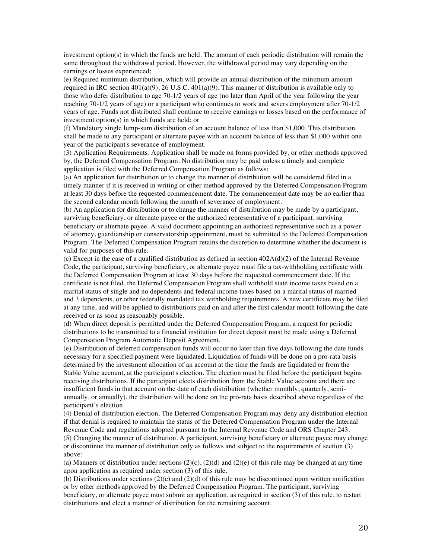investment option(s) in which the funds are held. The amount of each periodic distribution will remain the same throughout the withdrawal period. However, the withdrawal period may vary depending on the earnings or losses experienced;

(e) Required minimum distribution, which will provide an annual distribution of the minimum amount required in IRC section  $401(a)(9)$ , 26 U.S.C.  $401(a)(9)$ . This manner of distribution is available only to those who defer distribution to age 70-1/2 years of age (no later than April of the year following the year reaching 70-1/2 years of age) or a participant who continues to work and severs employment after 70-1/2 years of age. Funds not distributed shall continue to receive earnings or losses based on the performance of investment option(s) in which funds are held; or

(f) Mandatory single lump-sum distribution of an account balance of less than \$1,000. This distribution shall be made to any participant or alternate payee with an account balance of less than \$1,000 within one year of the participant's severance of employment.

(3) Application Requirements. Application shall be made on forms provided by, or other methods approved by, the Deferred Compensation Program. No distribution may be paid unless a timely and complete application is filed with the Deferred Compensation Program as follows:

(a) An application for distribution or to change the manner of distribution will be considered filed in a timely manner if it is received in writing or other method approved by the Deferred Compensation Program at least 30 days before the requested commencement date. The commencement date may be no earlier than the second calendar month following the month of severance of employment.

(b) An application for distribution or to change the manner of distribution may be made by a participant, surviving beneficiary, or alternate payee or the authorized representative of a participant, surviving beneficiary or alternate payee. A valid document appointing an authorized representative such as a power of attorney, guardianship or conservatorship appointment, must be submitted to the Deferred Compensation Program. The Deferred Compensation Program retains the discretion to determine whether the document is valid for purposes of this rule.

(c) Except in the case of a qualified distribution as defined in section  $402A(d)(2)$  of the Internal Revenue Code, the participant, surviving beneficiary, or alternate payee must file a tax-withholding certificate with the Deferred Compensation Program at least 30 days before the requested commencement date. If the certificate is not filed, the Deferred Compensation Program shall withhold state income taxes based on a marital status of single and no dependents and federal income taxes based on a marital status of married and 3 dependents, or other federally mandated tax withholding requirements. A new certificate may be filed at any time, and will be applied to distributions paid on and after the first calendar month following the date received or as soon as reasonably possible.

(d) When direct deposit is permitted under the Deferred Compensation Program, a request for periodic distributions to be transmitted to a financial institution for direct deposit must be made using a Deferred Compensation Program Automatic Deposit Agreement.

(e) Distribution of deferred compensation funds will occur no later than five days following the date funds necessary for a specified payment were liquidated. Liquidation of funds will be done on a pro-rata basis determined by the investment allocation of an account at the time the funds are liquidated or from the Stable Value account, at the participant's election. The election must be filed before the participant begins receiving distributions. If the participant elects distribution from the Stable Value account and there are insufficient funds in that account on the date of each distribution (whether monthly, quarterly, semiannually, or annually), the distribution will be done on the pro-rata basis described above regardless of the participant's election.

(4) Denial of distribution election. The Deferred Compensation Program may deny any distribution election if that denial is required to maintain the status of the Deferred Compensation Program under the Internal Revenue Code and regulations adopted pursuant to the Internal Revenue Code and ORS Chapter 243. (5) Changing the manner of distribution. A participant, surviving beneficiary or alternate payee may change or discontinue the manner of distribution only as follows and subject to the requirements of section (3) above:

(a) Manners of distribution under sections  $(2)(c)$ ,  $(2)(d)$  and  $(2)(e)$  of this rule may be changed at any time upon application as required under section (3) of this rule.

(b) Distributions under sections (2)(c) and (2)(d) of this rule may be discontinued upon written notification or by other methods approved by the Deferred Compensation Program. The participant, surviving beneficiary, or alternate payee must submit an application, as required in section (3) of this rule, to restart distributions and elect a manner of distribution for the remaining account.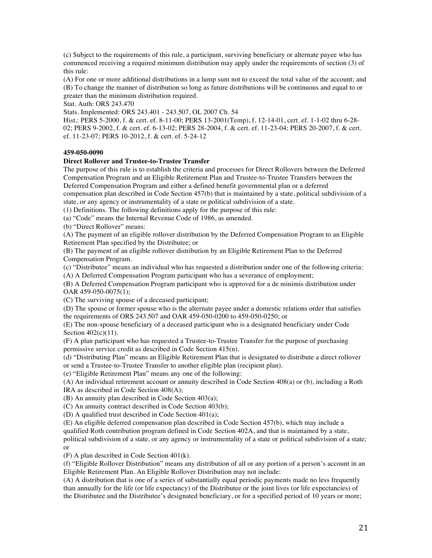(c) Subject to the requirements of this rule, a participant, surviving beneficiary or alternate payee who has commenced receiving a required minimum distribution may apply under the requirements of section (3) of this rule:

(A) For one or more additional distributions in a lump sum not to exceed the total value of the account; and (B) To change the manner of distribution so long as future distributions will be continuous and equal to or greater than the minimum distribution required.

Stat. Auth: ORS 243.470

Stats. Implemented: ORS 243.401 - 243.507, OL 2007 Ch. 54

Hist.: PERS 5-2000, f. & cert. ef. 8-11-00; PERS 13-2001(Temp), f. 12-14-01, cert. ef. 1-1-02 thru 6-28- 02; PERS 9-2002, f. & cert. ef. 6-13-02; PERS 28-2004, f. & cert. ef. 11-23-04; PERS 20-2007, f. & cert. ef. 11-23-07; PERS 10-2012, f. & cert. ef. 5-24-12

## **459-050-0090**

## **Direct Rollover and Trustee-to-Trustee Transfer**

The purpose of this rule is to establish the criteria and processes for Direct Rollovers between the Deferred Compensation Program and an Eligible Retirement Plan and Trustee-to-Trustee Transfers between the Deferred Compensation Program and either a defined benefit governmental plan or a deferred compensation plan described in Code Section 457(b) that is maintained by a state, political subdivision of a state, or any agency or instrumentality of a state or political subdivision of a state.

(1) Definitions. The following definitions apply for the purpose of this rule:

(a) "Code" means the Internal Revenue Code of 1986, as amended.

(b) "Direct Rollover" means:

(A) The payment of an eligible rollover distribution by the Deferred Compensation Program to an Eligible Retirement Plan specified by the Distributee; or

(B) The payment of an eligible rollover distribution by an Eligible Retirement Plan to the Deferred Compensation Program.

(c) "Distributee" means an individual who has requested a distribution under one of the following criteria:

(A) A Deferred Compensation Program participant who has a severance of employment;

(B) A Deferred Compensation Program participant who is approved for a de minimis distribution under OAR 459-050-0075(1);

(C) The surviving spouse of a deceased participant;

(D) The spouse or former spouse who is the alternate payee under a domestic relations order that satisfies the requirements of ORS 243.507 and OAR 459-050-0200 to 459-050-0250; or

(E) The non-spouse beneficiary of a deceased participant who is a designated beneficiary under Code Section  $402(c)(11)$ .

(F) A plan participant who has requested a Trustee-to-Trustee Transfer for the purpose of purchasing permissive service credit as described in Code Section 415(n).

(d) "Distributing Plan" means an Eligible Retirement Plan that is designated to distribute a direct rollover or send a Trustee-to-Trustee Transfer to another eligible plan (recipient plan).

(e) "Eligible Retirement Plan" means any one of the following:

(A) An individual retirement account or annuity described in Code Section 408(a) or (b), including a Roth IRA as described in Code Section 408(A);

(B) An annuity plan described in Code Section 403(a);

(C) An annuity contract described in Code Section 403(b);

(D) A qualified trust described in Code Section 401(a);

(E) An eligible deferred compensation plan described in Code Section 457(b), which may include a qualified Roth contribution program defined in Code Section 402A, and that is maintained by a state, political subdivision of a state, or any agency or instrumentality of a state or political subdivision of a state; or

(F) A plan described in Code Section 401(k).

(f) "Eligible Rollover Distribution" means any distribution of all or any portion of a person's account in an Eligible Retirement Plan. An Eligible Rollover Distribution may not include:

(A) A distribution that is one of a series of substantially equal periodic payments made no less frequently than annually for the life (or life expectancy) of the Distributee or the joint lives (or life expectancies) of the Distributee and the Distributee's designated beneficiary, or for a specified period of 10 years or more;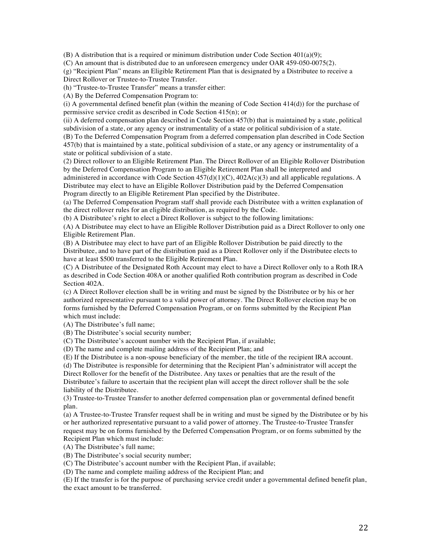(B) A distribution that is a required or minimum distribution under Code Section  $401(a)(9)$ ;

(C) An amount that is distributed due to an unforeseen emergency under OAR 459-050-0075(2).

(g) "Recipient Plan" means an Eligible Retirement Plan that is designated by a Distributee to receive a Direct Rollover or Trustee-to-Trustee Transfer.

(h) "Trustee-to-Trustee Transfer" means a transfer either:

(A) By the Deferred Compensation Program to:

(i) A governmental defined benefit plan (within the meaning of Code Section 414(d)) for the purchase of permissive service credit as described in Code Section 415(n); or

(ii) A deferred compensation plan described in Code Section 457(b) that is maintained by a state, political subdivision of a state, or any agency or instrumentality of a state or political subdivision of a state.

(B) To the Deferred Compensation Program from a deferred compensation plan described in Code Section 457(b) that is maintained by a state, political subdivision of a state, or any agency or instrumentality of a state or political subdivision of a state.

(2) Direct rollover to an Eligible Retirement Plan. The Direct Rollover of an Eligible Rollover Distribution by the Deferred Compensation Program to an Eligible Retirement Plan shall be interpreted and

administered in accordance with Code Section 457(d)(1)(C), 402A(c)(3) and all applicable regulations. A Distributee may elect to have an Eligible Rollover Distribution paid by the Deferred Compensation Program directly to an Eligible Retirement Plan specified by the Distributee.

(a) The Deferred Compensation Program staff shall provide each Distributee with a written explanation of the direct rollover rules for an eligible distribution, as required by the Code.

(b) A Distributee's right to elect a Direct Rollover is subject to the following limitations:

(A) A Distributee may elect to have an Eligible Rollover Distribution paid as a Direct Rollover to only one Eligible Retirement Plan.

(B) A Distributee may elect to have part of an Eligible Rollover Distribution be paid directly to the Distributee, and to have part of the distribution paid as a Direct Rollover only if the Distributee elects to have at least \$500 transferred to the Eligible Retirement Plan.

(C) A Distributee of the Designated Roth Account may elect to have a Direct Rollover only to a Roth IRA as described in Code Section 408A or another qualified Roth contribution program as described in Code Section 402A.

(c) A Direct Rollover election shall be in writing and must be signed by the Distributee or by his or her authorized representative pursuant to a valid power of attorney. The Direct Rollover election may be on forms furnished by the Deferred Compensation Program, or on forms submitted by the Recipient Plan which must include:

(A) The Distributee's full name;

(B) The Distributee's social security number;

(C) The Distributee's account number with the Recipient Plan, if available;

(D) The name and complete mailing address of the Recipient Plan; and

(E) If the Distributee is a non-spouse beneficiary of the member, the title of the recipient IRA account.

(d) The Distributee is responsible for determining that the Recipient Plan's administrator will accept the Direct Rollover for the benefit of the Distributee. Any taxes or penalties that are the result of the Distributee's failure to ascertain that the recipient plan will accept the direct rollover shall be the sole liability of the Distributee.

(3) Trustee-to-Trustee Transfer to another deferred compensation plan or governmental defined benefit plan.

(a) A Trustee-to-Trustee Transfer request shall be in writing and must be signed by the Distributee or by his or her authorized representative pursuant to a valid power of attorney. The Trustee-to-Trustee Transfer request may be on forms furnished by the Deferred Compensation Program, or on forms submitted by the Recipient Plan which must include:

(A) The Distributee's full name;

(B) The Distributee's social security number;

(C) The Distributee's account number with the Recipient Plan, if available;

(D) The name and complete mailing address of the Recipient Plan; and

(E) If the transfer is for the purpose of purchasing service credit under a governmental defined benefit plan, the exact amount to be transferred.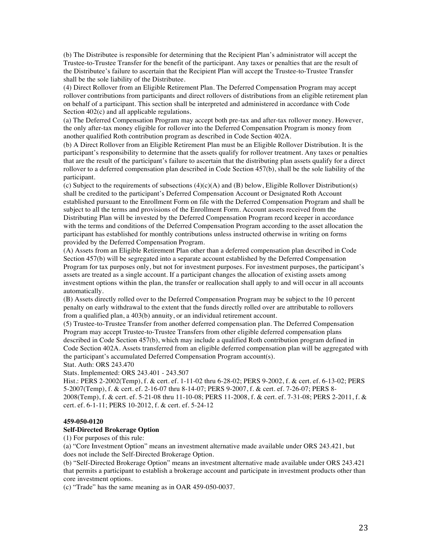(b) The Distributee is responsible for determining that the Recipient Plan's administrator will accept the Trustee-to-Trustee Transfer for the benefit of the participant. Any taxes or penalties that are the result of the Distributee's failure to ascertain that the Recipient Plan will accept the Trustee-to-Trustee Transfer shall be the sole liability of the Distributee.

(4) Direct Rollover from an Eligible Retirement Plan. The Deferred Compensation Program may accept rollover contributions from participants and direct rollovers of distributions from an eligible retirement plan on behalf of a participant. This section shall be interpreted and administered in accordance with Code Section  $402(c)$  and all applicable regulations.

(a) The Deferred Compensation Program may accept both pre-tax and after-tax rollover money. However, the only after-tax money eligible for rollover into the Deferred Compensation Program is money from another qualified Roth contribution program as described in Code Section 402A.

(b) A Direct Rollover from an Eligible Retirement Plan must be an Eligible Rollover Distribution. It is the participant's responsibility to determine that the assets qualify for rollover treatment. Any taxes or penalties that are the result of the participant's failure to ascertain that the distributing plan assets qualify for a direct rollover to a deferred compensation plan described in Code Section 457(b), shall be the sole liability of the participant.

(c) Subject to the requirements of subsections  $(4)(c)(A)$  and  $(B)$  below, Eligible Rollover Distribution(s) shall be credited to the participant's Deferred Compensation Account or Designated Roth Account established pursuant to the Enrollment Form on file with the Deferred Compensation Program and shall be subject to all the terms and provisions of the Enrollment Form. Account assets received from the Distributing Plan will be invested by the Deferred Compensation Program record keeper in accordance with the terms and conditions of the Deferred Compensation Program according to the asset allocation the participant has established for monthly contributions unless instructed otherwise in writing on forms provided by the Deferred Compensation Program.

(A) Assets from an Eligible Retirement Plan other than a deferred compensation plan described in Code Section 457(b) will be segregated into a separate account established by the Deferred Compensation Program for tax purposes only, but not for investment purposes. For investment purposes, the participant's assets are treated as a single account. If a participant changes the allocation of existing assets among investment options within the plan, the transfer or reallocation shall apply to and will occur in all accounts automatically.

(B) Assets directly rolled over to the Deferred Compensation Program may be subject to the 10 percent penalty on early withdrawal to the extent that the funds directly rolled over are attributable to rollovers from a qualified plan, a 403(b) annuity, or an individual retirement account.

(5) Trustee-to-Trustee Transfer from another deferred compensation plan. The Deferred Compensation Program may accept Trustee-to-Trustee Transfers from other eligible deferred compensation plans described in Code Section 457(b), which may include a qualified Roth contribution program defined in Code Section 402A. Assets transferred from an eligible deferred compensation plan will be aggregated with the participant's accumulated Deferred Compensation Program account(s).

Stat. Auth: ORS 243.470

Stats. Implemented: ORS 243.401 - 243.507

Hist.: PERS 2-2002(Temp), f. & cert. ef. 1-11-02 thru 6-28-02; PERS 9-2002, f. & cert. ef. 6-13-02; PERS 5-2007(Temp), f. & cert. ef. 2-16-07 thru 8-14-07; PERS 9-2007, f. & cert. ef. 7-26-07; PERS 8- 2008(Temp), f. & cert. ef. 5-21-08 thru 11-10-08; PERS 11-2008, f. & cert. ef. 7-31-08; PERS 2-2011, f. & cert. ef. 6-1-11; PERS 10-2012, f. & cert. ef. 5-24-12

#### **459-050-0120**

## **Self-Directed Brokerage Option**

(1) For purposes of this rule:

(a) "Core Investment Option" means an investment alternative made available under ORS 243.421, but does not include the Self-Directed Brokerage Option.

(b) "Self-Directed Brokerage Option" means an investment alternative made available under ORS 243.421 that permits a participant to establish a brokerage account and participate in investment products other than core investment options.

(c) "Trade" has the same meaning as in OAR 459-050-0037.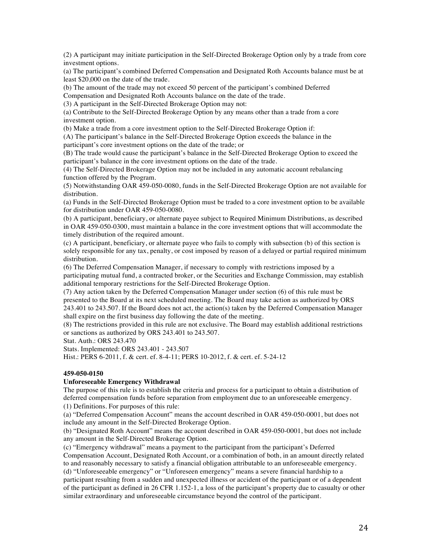(2) A participant may initiate participation in the Self-Directed Brokerage Option only by a trade from core investment options.

(a) The participant's combined Deferred Compensation and Designated Roth Accounts balance must be at least \$20,000 on the date of the trade.

(b) The amount of the trade may not exceed 50 percent of the participant's combined Deferred Compensation and Designated Roth Accounts balance on the date of the trade.

(3) A participant in the Self-Directed Brokerage Option may not:

(a) Contribute to the Self-Directed Brokerage Option by any means other than a trade from a core investment option.

(b) Make a trade from a core investment option to the Self-Directed Brokerage Option if:

(A) The participant's balance in the Self-Directed Brokerage Option exceeds the balance in the participant's core investment options on the date of the trade; or

(B) The trade would cause the participant's balance in the Self-Directed Brokerage Option to exceed the participant's balance in the core investment options on the date of the trade.

(4) The Self-Directed Brokerage Option may not be included in any automatic account rebalancing function offered by the Program.

(5) Notwithstanding OAR 459-050-0080, funds in the Self-Directed Brokerage Option are not available for distribution.

(a) Funds in the Self-Directed Brokerage Option must be traded to a core investment option to be available for distribution under OAR 459-050-0080.

(b) A participant, beneficiary, or alternate payee subject to Required Minimum Distributions, as described in OAR 459-050-0300, must maintain a balance in the core investment options that will accommodate the timely distribution of the required amount.

(c) A participant, beneficiary, or alternate payee who fails to comply with subsection (b) of this section is solely responsible for any tax, penalty, or cost imposed by reason of a delayed or partial required minimum distribution.

(6) The Deferred Compensation Manager, if necessary to comply with restrictions imposed by a participating mutual fund, a contracted broker, or the Securities and Exchange Commission, may establish additional temporary restrictions for the Self-Directed Brokerage Option.

(7) Any action taken by the Deferred Compensation Manager under section (6) of this rule must be presented to the Board at its next scheduled meeting. The Board may take action as authorized by ORS 243.401 to 243.507. If the Board does not act, the action(s) taken by the Deferred Compensation Manager shall expire on the first business day following the date of the meeting.

(8) The restrictions provided in this rule are not exclusive. The Board may establish additional restrictions or sanctions as authorized by ORS 243.401 to 243.507.

Stat. Auth.: ORS 243.470

Stats. Implemented: ORS 243.401 - 243.507

Hist.: PERS 6-2011, f. & cert. ef. 8-4-11; PERS 10-2012, f. & cert. ef. 5-24-12

## **459-050-0150**

## **Unforeseeable Emergency Withdrawal**

The purpose of this rule is to establish the criteria and process for a participant to obtain a distribution of deferred compensation funds before separation from employment due to an unforeseeable emergency. (1) Definitions. For purposes of this rule:

(a) "Deferred Compensation Account" means the account described in OAR 459-050-0001, but does not include any amount in the Self-Directed Brokerage Option.

(b) "Designated Roth Account" means the account described in OAR 459-050-0001, but does not include any amount in the Self-Directed Brokerage Option.

(c) "Emergency withdrawal" means a payment to the participant from the participant's Deferred Compensation Account, Designated Roth Account, or a combination of both, in an amount directly related to and reasonably necessary to satisfy a financial obligation attributable to an unforeseeable emergency. (d) "Unforeseeable emergency" or "Unforeseen emergency" means a severe financial hardship to a participant resulting from a sudden and unexpected illness or accident of the participant or of a dependent of the participant as defined in 26 CFR 1.152-1, a loss of the participant's property due to casualty or other similar extraordinary and unforeseeable circumstance beyond the control of the participant.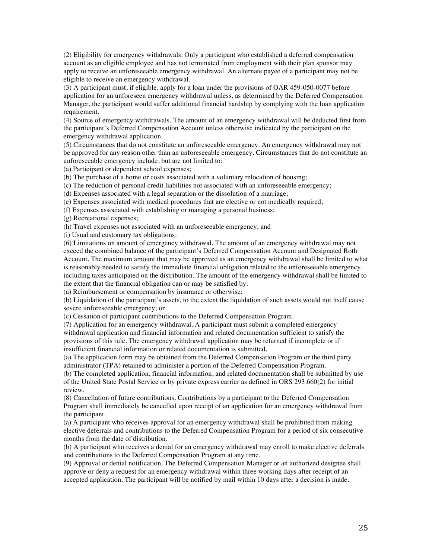(2) Eligibility for emergency withdrawals. Only a participant who established a deferred compensation account as an eligible employee and has not terminated from employment with their plan sponsor may apply to receive an unforeseeable emergency withdrawal. An alternate payee of a participant may not be eligible to receive an emergency withdrawal.

(3) A participant must, if eligible, apply for a loan under the provisions of OAR 459-050-0077 before application for an unforeseen emergency withdrawal unless, as determined by the Deferred Compensation Manager, the participant would suffer additional financial hardship by complying with the loan application requirement.

(4) Source of emergency withdrawals. The amount of an emergency withdrawal will be deducted first from the participant's Deferred Compensation Account unless otherwise indicated by the participant on the emergency withdrawal application.

(5) Circumstances that do not constitute an unforeseeable emergency. An emergency withdrawal may not be approved for any reason other than an unforeseeable emergency. Circumstances that do not constitute an unforeseeable emergency include, but are not limited to:

(a) Participant or dependent school expenses;

(b) The purchase of a home or costs associated with a voluntary relocation of housing;

(c) The reduction of personal credit liabilities not associated with an unforeseeable emergency;

(d) Expenses associated with a legal separation or the dissolution of a marriage;

(e) Expenses associated with medical procedures that are elective or not medically required;

(f) Expenses associated with establishing or managing a personal business;

(g) Recreational expenses;

(h) Travel expenses not associated with an unforeseeable emergency; and

(i) Usual and customary tax obligations.

(6) Limitations on amount of emergency withdrawal. The amount of an emergency withdrawal may not exceed the combined balance of the participant's Deferred Compensation Account and Designated Roth Account. The maximum amount that may be approved as an emergency withdrawal shall be limited to what is reasonably needed to satisfy the immediate financial obligation related to the unforeseeable emergency, including taxes anticipated on the distribution. The amount of the emergency withdrawal shall be limited to the extent that the financial obligation can or may be satisfied by:

(a) Reimbursement or compensation by insurance or otherwise;

(b) Liquidation of the participant's assets, to the extent the liquidation of such assets would not itself cause severe unforeseeable emergency; or

(c) Cessation of participant contributions to the Deferred Compensation Program.

(7) Application for an emergency withdrawal. A participant must submit a completed emergency withdrawal application and financial information and related documentation sufficient to satisfy the provisions of this rule. The emergency withdrawal application may be returned if incomplete or if insufficient financial information or related documentation is submitted.

(a) The application form may be obtained from the Deferred Compensation Program or the third party administrator (TPA) retained to administer a portion of the Deferred Compensation Program.

(b) The completed application, financial information, and related documentation shall be submitted by use of the United State Postal Service or by private express carrier as defined in ORS 293.660(2) for initial review.

(8) Cancellation of future contributions. Contributions by a participant to the Deferred Compensation Program shall immediately be cancelled upon receipt of an application for an emergency withdrawal from the participant.

(a) A participant who receives approval for an emergency withdrawal shall be prohibited from making elective deferrals and contributions to the Deferred Compensation Program for a period of six consecutive months from the date of distribution.

(b) A participant who receives a denial for an emergency withdrawal may enroll to make elective deferrals and contributions to the Deferred Compensation Program at any time.

(9) Approval or denial notification. The Deferred Compensation Manager or an authorized designee shall approve or deny a request for an emergency withdrawal within three working days after receipt of an accepted application. The participant will be notified by mail within 10 days after a decision is made.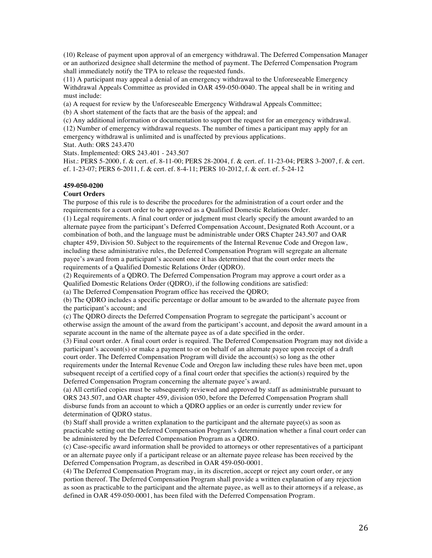(10) Release of payment upon approval of an emergency withdrawal. The Deferred Compensation Manager or an authorized designee shall determine the method of payment. The Deferred Compensation Program shall immediately notify the TPA to release the requested funds.

(11) A participant may appeal a denial of an emergency withdrawal to the Unforeseeable Emergency Withdrawal Appeals Committee as provided in OAR 459-050-0040. The appeal shall be in writing and must include:

(a) A request for review by the Unforeseeable Emergency Withdrawal Appeals Committee;

(b) A short statement of the facts that are the basis of the appeal; and

(c) Any additional information or documentation to support the request for an emergency withdrawal.

(12) Number of emergency withdrawal requests. The number of times a participant may apply for an emergency withdrawal is unlimited and is unaffected by previous applications.

Stat. Auth: ORS 243.470

Stats. Implemented: ORS 243.401 - 243.507

Hist.: PERS 5-2000, f. & cert. ef. 8-11-00; PERS 28-2004, f. & cert. ef. 11-23-04; PERS 3-2007, f. & cert. ef. 1-23-07; PERS 6-2011, f. & cert. ef. 8-4-11; PERS 10-2012, f. & cert. ef. 5-24-12

## **459-050-0200**

## **Court Orders**

The purpose of this rule is to describe the procedures for the administration of a court order and the requirements for a court order to be approved as a Qualified Domestic Relations Order.

(1) Legal requirements. A final court order or judgment must clearly specify the amount awarded to an alternate payee from the participant's Deferred Compensation Account, Designated Roth Account, or a combination of both, and the language must be administrable under ORS Chapter 243.507 and OAR chapter 459, Division 50. Subject to the requirements of the Internal Revenue Code and Oregon law, including these administrative rules, the Deferred Compensation Program will segregate an alternate payee's award from a participant's account once it has determined that the court order meets the requirements of a Qualified Domestic Relations Order (QDRO).

(2) Requirements of a QDRO. The Deferred Compensation Program may approve a court order as a Qualified Domestic Relations Order (QDRO), if the following conditions are satisfied:

(a) The Deferred Compensation Program office has received the QDRO;

(b) The QDRO includes a specific percentage or dollar amount to be awarded to the alternate payee from the participant's account; and

(c) The QDRO directs the Deferred Compensation Program to segregate the participant's account or otherwise assign the amount of the award from the participant's account, and deposit the award amount in a separate account in the name of the alternate payee as of a date specified in the order.

(3) Final court order. A final court order is required. The Deferred Compensation Program may not divide a participant's account(s) or make a payment to or on behalf of an alternate payee upon receipt of a draft court order. The Deferred Compensation Program will divide the account(s) so long as the other requirements under the Internal Revenue Code and Oregon law including these rules have been met, upon subsequent receipt of a certified copy of a final court order that specifies the action(s) required by the Deferred Compensation Program concerning the alternate payee's award.

(a) All certified copies must be subsequently reviewed and approved by staff as administrable pursuant to ORS 243.507, and OAR chapter 459, division 050, before the Deferred Compensation Program shall disburse funds from an account to which a QDRO applies or an order is currently under review for determination of QDRO status.

(b) Staff shall provide a written explanation to the participant and the alternate payee(s) as soon as practicable setting out the Deferred Compensation Program's determination whether a final court order can be administered by the Deferred Compensation Program as a QDRO.

(c) Case-specific award information shall be provided to attorneys or other representatives of a participant or an alternate payee only if a participant release or an alternate payee release has been received by the Deferred Compensation Program, as described in OAR 459-050-0001.

(4) The Deferred Compensation Program may, in its discretion, accept or reject any court order, or any portion thereof. The Deferred Compensation Program shall provide a written explanation of any rejection as soon as practicable to the participant and the alternate payee, as well as to their attorneys if a release, as defined in OAR 459-050-0001, has been filed with the Deferred Compensation Program.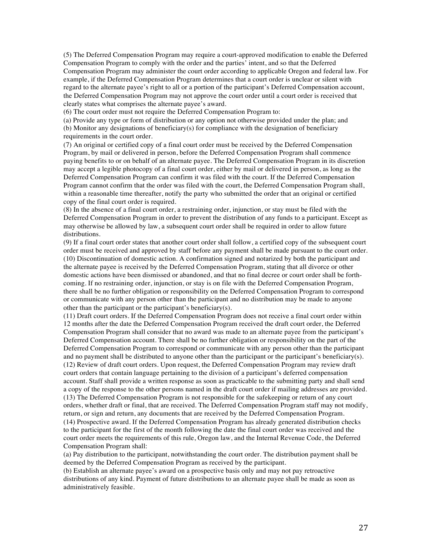(5) The Deferred Compensation Program may require a court-approved modification to enable the Deferred Compensation Program to comply with the order and the parties' intent, and so that the Deferred Compensation Program may administer the court order according to applicable Oregon and federal law. For example, if the Deferred Compensation Program determines that a court order is unclear or silent with regard to the alternate payee's right to all or a portion of the participant's Deferred Compensation account, the Deferred Compensation Program may not approve the court order until a court order is received that clearly states what comprises the alternate payee's award.

(6) The court order must not require the Deferred Compensation Program to:

(a) Provide any type or form of distribution or any option not otherwise provided under the plan; and (b) Monitor any designations of beneficiary(s) for compliance with the designation of beneficiary requirements in the court order.

(7) An original or certified copy of a final court order must be received by the Deferred Compensation Program, by mail or delivered in person, before the Deferred Compensation Program shall commence paying benefits to or on behalf of an alternate payee. The Deferred Compensation Program in its discretion may accept a legible photocopy of a final court order, either by mail or delivered in person, as long as the Deferred Compensation Program can confirm it was filed with the court. If the Deferred Compensation Program cannot confirm that the order was filed with the court, the Deferred Compensation Program shall, within a reasonable time thereafter, notify the party who submitted the order that an original or certified copy of the final court order is required.

(8) In the absence of a final court order, a restraining order, injunction, or stay must be filed with the Deferred Compensation Program in order to prevent the distribution of any funds to a participant. Except as may otherwise be allowed by law, a subsequent court order shall be required in order to allow future distributions.

(9) If a final court order states that another court order shall follow, a certified copy of the subsequent court order must be received and approved by staff before any payment shall be made pursuant to the court order. (10) Discontinuation of domestic action. A confirmation signed and notarized by both the participant and the alternate payee is received by the Deferred Compensation Program, stating that all divorce or other domestic actions have been dismissed or abandoned, and that no final decree or court order shall be forthcoming. If no restraining order, injunction, or stay is on file with the Deferred Compensation Program, there shall be no further obligation or responsibility on the Deferred Compensation Program to correspond or communicate with any person other than the participant and no distribution may be made to anyone other than the participant or the participant's beneficiary(s).

(11) Draft court orders. If the Deferred Compensation Program does not receive a final court order within 12 months after the date the Deferred Compensation Program received the draft court order, the Deferred Compensation Program shall consider that no award was made to an alternate payee from the participant's Deferred Compensation account. There shall be no further obligation or responsibility on the part of the Deferred Compensation Program to correspond or communicate with any person other than the participant and no payment shall be distributed to anyone other than the participant or the participant's beneficiary(s). (12) Review of draft court orders. Upon request, the Deferred Compensation Program may review draft court orders that contain language pertaining to the division of a participant's deferred compensation account. Staff shall provide a written response as soon as practicable to the submitting party and shall send a copy of the response to the other persons named in the draft court order if mailing addresses are provided. (13) The Deferred Compensation Program is not responsible for the safekeeping or return of any court orders, whether draft or final, that are received. The Deferred Compensation Program staff may not modify, return, or sign and return, any documents that are received by the Deferred Compensation Program. (14) Prospective award. If the Deferred Compensation Program has already generated distribution checks to the participant for the first of the month following the date the final court order was received and the court order meets the requirements of this rule, Oregon law, and the Internal Revenue Code, the Deferred Compensation Program shall:

(a) Pay distribution to the participant, notwithstanding the court order. The distribution payment shall be deemed by the Deferred Compensation Program as received by the participant.

(b) Establish an alternate payee's award on a prospective basis only and may not pay retroactive distributions of any kind. Payment of future distributions to an alternate payee shall be made as soon as administratively feasible.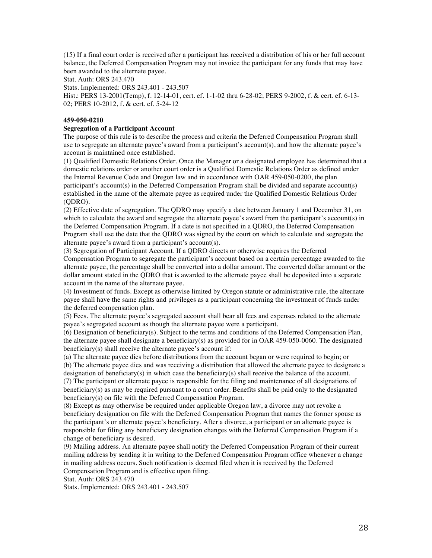(15) If a final court order is received after a participant has received a distribution of his or her full account balance, the Deferred Compensation Program may not invoice the participant for any funds that may have been awarded to the alternate payee.

Stat. Auth: ORS 243.470

Stats. Implemented: ORS 243.401 - 243.507

Hist.: PERS 13-2001(Temp), f. 12-14-01, cert. ef. 1-1-02 thru 6-28-02; PERS 9-2002, f. & cert. ef. 6-13- 02; PERS 10-2012, f. & cert. ef. 5-24-12

## **459-050-0210**

## **Segregation of a Participant Account**

The purpose of this rule is to describe the process and criteria the Deferred Compensation Program shall use to segregate an alternate payee's award from a participant's account(s), and how the alternate payee's account is maintained once established.

(1) Qualified Domestic Relations Order. Once the Manager or a designated employee has determined that a domestic relations order or another court order is a Qualified Domestic Relations Order as defined under the Internal Revenue Code and Oregon law and in accordance with OAR 459-050-0200, the plan participant's account(s) in the Deferred Compensation Program shall be divided and separate account(s) established in the name of the alternate payee as required under the Qualified Domestic Relations Order (QDRO).

(2) Effective date of segregation. The QDRO may specify a date between January 1 and December 31, on which to calculate the award and segregate the alternate payee's award from the participant's account(s) in the Deferred Compensation Program. If a date is not specified in a QDRO, the Deferred Compensation Program shall use the date that the QDRO was signed by the court on which to calculate and segregate the alternate payee's award from a participant's account(s).

(3) Segregation of Participant Account. If a QDRO directs or otherwise requires the Deferred Compensation Program to segregate the participant's account based on a certain percentage awarded to the alternate payee, the percentage shall be converted into a dollar amount. The converted dollar amount or the dollar amount stated in the QDRO that is awarded to the alternate payee shall be deposited into a separate account in the name of the alternate payee.

(4) Investment of funds. Except as otherwise limited by Oregon statute or administrative rule, the alternate payee shall have the same rights and privileges as a participant concerning the investment of funds under the deferred compensation plan.

(5) Fees. The alternate payee's segregated account shall bear all fees and expenses related to the alternate payee's segregated account as though the alternate payee were a participant.

(6) Designation of beneficiary(s). Subject to the terms and conditions of the Deferred Compensation Plan, the alternate payee shall designate a beneficiary(s) as provided for in OAR 459-050-0060. The designated beneficiary(s) shall receive the alternate payee's account if:

(a) The alternate payee dies before distributions from the account began or were required to begin; or (b) The alternate payee dies and was receiving a distribution that allowed the alternate payee to designate a designation of beneficiary(s) in which case the beneficiary(s) shall receive the balance of the account. (7) The participant or alternate payee is responsible for the filing and maintenance of all designations of beneficiary(s) as may be required pursuant to a court order. Benefits shall be paid only to the designated

beneficiary(s) on file with the Deferred Compensation Program. (8) Except as may otherwise be required under applicable Oregon law, a divorce may not revoke a beneficiary designation on file with the Deferred Compensation Program that names the former spouse as the participant's or alternate payee's beneficiary. After a divorce, a participant or an alternate payee is responsible for filing any beneficiary designation changes with the Deferred Compensation Program if a change of beneficiary is desired.

(9) Mailing address. An alternate payee shall notify the Deferred Compensation Program of their current mailing address by sending it in writing to the Deferred Compensation Program office whenever a change in mailing address occurs. Such notification is deemed filed when it is received by the Deferred Compensation Program and is effective upon filing.

Stat. Auth: ORS 243.470

Stats. Implemented: ORS 243.401 - 243.507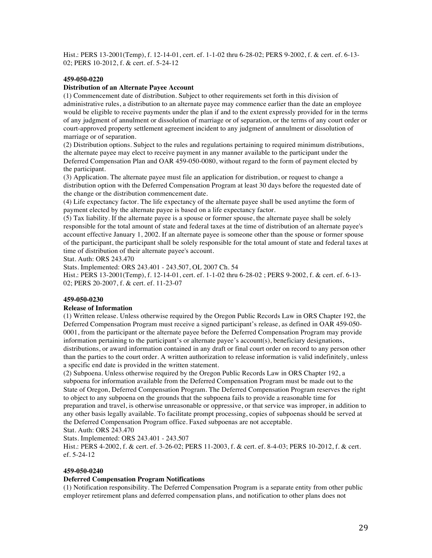Hist.: PERS 13-2001(Temp), f. 12-14-01, cert. ef. 1-1-02 thru 6-28-02; PERS 9-2002, f. & cert. ef. 6-13- 02; PERS 10-2012, f. & cert. ef. 5-24-12

## **459-050-0220**

## **Distribution of an Alternate Payee Account**

(1) Commencement date of distribution. Subject to other requirements set forth in this division of administrative rules, a distribution to an alternate payee may commence earlier than the date an employee would be eligible to receive payments under the plan if and to the extent expressly provided for in the terms of any judgment of annulment or dissolution of marriage or of separation, or the terms of any court order or court-approved property settlement agreement incident to any judgment of annulment or dissolution of marriage or of separation.

(2) Distribution options. Subject to the rules and regulations pertaining to required minimum distributions, the alternate payee may elect to receive payment in any manner available to the participant under the Deferred Compensation Plan and OAR 459-050-0080, without regard to the form of payment elected by the participant.

(3) Application. The alternate payee must file an application for distribution, or request to change a distribution option with the Deferred Compensation Program at least 30 days before the requested date of the change or the distribution commencement date.

(4) Life expectancy factor. The life expectancy of the alternate payee shall be used anytime the form of payment elected by the alternate payee is based on a life expectancy factor.

(5) Tax liability. If the alternate payee is a spouse or former spouse, the alternate payee shall be solely responsible for the total amount of state and federal taxes at the time of distribution of an alternate payee's account effective January 1, 2002. If an alternate payee is someone other than the spouse or former spouse of the participant, the participant shall be solely responsible for the total amount of state and federal taxes at time of distribution of their alternate payee's account.

Stat. Auth: ORS 243.470

Stats. Implemented: ORS 243.401 - 243.507, OL 2007 Ch. 54

Hist.: PERS 13-2001(Temp), f. 12-14-01, cert. ef. 1-1-02 thru 6-28-02 ; PERS 9-2002, f. & cert. ef. 6-13- 02; PERS 20-2007, f. & cert. ef. 11-23-07

## **459-050-0230**

## **Release of Information**

(1) Written release. Unless otherwise required by the Oregon Public Records Law in ORS Chapter 192, the Deferred Compensation Program must receive a signed participant's release, as defined in OAR 459-050- 0001, from the participant or the alternate payee before the Deferred Compensation Program may provide information pertaining to the participant's or alternate payee's account(s), beneficiary designations, distributions, or award information contained in any draft or final court order on record to any person other than the parties to the court order. A written authorization to release information is valid indefinitely, unless a specific end date is provided in the written statement.

(2) Subpoena. Unless otherwise required by the Oregon Public Records Law in ORS Chapter 192, a subpoena for information available from the Deferred Compensation Program must be made out to the State of Oregon, Deferred Compensation Program. The Deferred Compensation Program reserves the right to object to any subpoena on the grounds that the subpoena fails to provide a reasonable time for preparation and travel, is otherwise unreasonable or oppressive, or that service was improper, in addition to any other basis legally available. To facilitate prompt processing, copies of subpoenas should be served at the Deferred Compensation Program office. Faxed subpoenas are not acceptable.

Stat. Auth: ORS 243.470

Stats. Implemented: ORS 243.401 - 243.507

Hist.: PERS 4-2002, f. & cert. ef. 3-26-02; PERS 11-2003, f. & cert. ef. 8-4-03; PERS 10-2012, f. & cert. ef. 5-24-12

## **459-050-0240**

## **Deferred Compensation Program Notifications**

(1) Notification responsibility. The Deferred Compensation Program is a separate entity from other public employer retirement plans and deferred compensation plans, and notification to other plans does not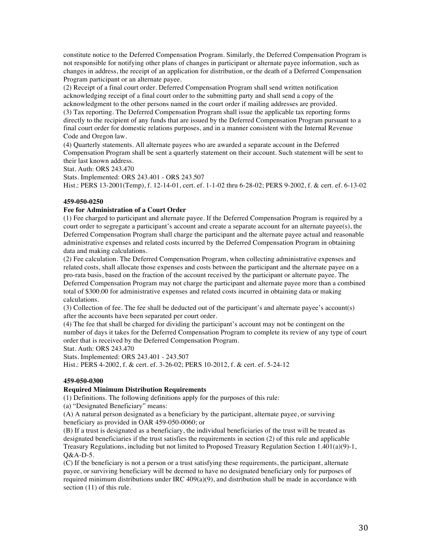constitute notice to the Deferred Compensation Program. Similarly, the Deferred Compensation Program is not responsible for notifying other plans of changes in participant or alternate payee information, such as changes in address, the receipt of an application for distribution, or the death of a Deferred Compensation Program participant or an alternate payee.

(2) Receipt of a final court order. Deferred Compensation Program shall send written notification acknowledging receipt of a final court order to the submitting party and shall send a copy of the acknowledgment to the other persons named in the court order if mailing addresses are provided. (3) Tax reporting. The Deferred Compensation Program shall issue the applicable tax reporting forms directly to the recipient of any funds that are issued by the Deferred Compensation Program pursuant to a final court order for domestic relations purposes, and in a manner consistent with the Internal Revenue Code and Oregon law.

(4) Quarterly statements. All alternate payees who are awarded a separate account in the Deferred Compensation Program shall be sent a quarterly statement on their account. Such statement will be sent to their last known address.

Stat. Auth: ORS 243.470

Stats. Implemented: ORS 243.401 - ORS 243.507 Hist.: PERS 13-2001(Temp), f. 12-14-01, cert. ef. 1-1-02 thru 6-28-02; PERS 9-2002, f. & cert. ef. 6-13-02

## **459-050-0250**

## **Fee for Administration of a Court Order**

(1) Fee charged to participant and alternate payee. If the Deferred Compensation Program is required by a court order to segregate a participant's account and create a separate account for an alternate payee(s), the Deferred Compensation Program shall charge the participant and the alternate payee actual and reasonable administrative expenses and related costs incurred by the Deferred Compensation Program in obtaining data and making calculations.

(2) Fee calculation. The Deferred Compensation Program, when collecting administrative expenses and related costs, shall allocate those expenses and costs between the participant and the alternate payee on a pro-rata basis, based on the fraction of the account received by the participant or alternate payee. The Deferred Compensation Program may not charge the participant and alternate payee more than a combined total of \$300.00 for administrative expenses and related costs incurred in obtaining data or making calculations.

(3) Collection of fee. The fee shall be deducted out of the participant's and alternate payee's account(s) after the accounts have been separated per court order.

(4) The fee that shall be charged for dividing the participant's account may not be contingent on the number of days it takes for the Deferred Compensation Program to complete its review of any type of court order that is received by the Deferred Compensation Program.

Stat. Auth: ORS 243.470

Stats. Implemented: ORS 243.401 - 243.507

Hist.: PERS 4-2002, f. & cert. ef. 3-26-02; PERS 10-2012, f. & cert. ef. 5-24-12

## **459-050-0300**

## **Required Minimum Distribution Requirements**

(1) Definitions. The following definitions apply for the purposes of this rule:

(a) "Designated Beneficiary" means:

(A) A natural person designated as a beneficiary by the participant, alternate payee, or surviving beneficiary as provided in OAR 459-050-0060; or

(B) If a trust is designated as a beneficiary, the individual beneficiaries of the trust will be treated as designated beneficiaries if the trust satisfies the requirements in section (2) of this rule and applicable Treasury Regulations, including but not limited to Proposed Treasury Regulation Section 1.401(a)(9)-1,  $O&A-D-5$ .

(C) If the beneficiary is not a person or a trust satisfying these requirements, the participant, alternate payee, or surviving beneficiary will be deemed to have no designated beneficiary only for purposes of required minimum distributions under IRC 409(a)(9), and distribution shall be made in accordance with section (11) of this rule.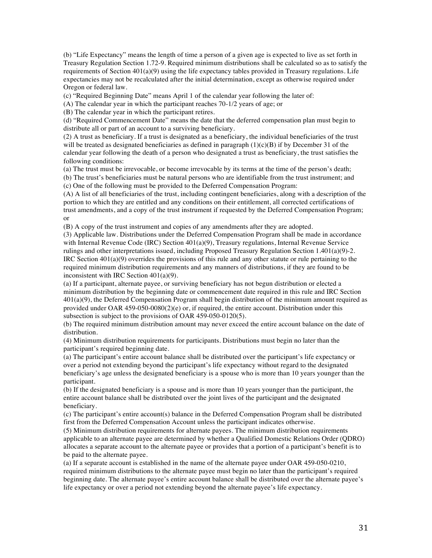(b) "Life Expectancy" means the length of time a person of a given age is expected to live as set forth in Treasury Regulation Section 1.72-9. Required minimum distributions shall be calculated so as to satisfy the requirements of Section  $401(a)(9)$  using the life expectancy tables provided in Treasury regulations. Life expectancies may not be recalculated after the initial determination, except as otherwise required under Oregon or federal law.

(c) "Required Beginning Date" means April 1 of the calendar year following the later of:

(A) The calendar year in which the participant reaches 70-1/2 years of age; or

(B) The calendar year in which the participant retires.

(d) "Required Commencement Date" means the date that the deferred compensation plan must begin to distribute all or part of an account to a surviving beneficiary.

(2) A trust as beneficiary. If a trust is designated as a beneficiary, the individual beneficiaries of the trust will be treated as designated beneficiaries as defined in paragraph  $(1)(c)(B)$  if by December 31 of the calendar year following the death of a person who designated a trust as beneficiary, the trust satisfies the following conditions:

(a) The trust must be irrevocable, or become irrevocable by its terms at the time of the person's death;

(b) The trust's beneficiaries must be natural persons who are identifiable from the trust instrument; and (c) One of the following must be provided to the Deferred Compensation Program:

(A) A list of all beneficiaries of the trust, including contingent beneficiaries, along with a description of the portion to which they are entitled and any conditions on their entitlement, all corrected certifications of trust amendments, and a copy of the trust instrument if requested by the Deferred Compensation Program; or

(B) A copy of the trust instrument and copies of any amendments after they are adopted.

(3) Applicable law. Distributions under the Deferred Compensation Program shall be made in accordance with Internal Revenue Code (IRC) Section 401(a)(9), Treasury regulations, Internal Revenue Service rulings and other interpretations issued, including Proposed Treasury Regulation Section 1.401(a)(9)-2. IRC Section 401(a)(9) overrides the provisions of this rule and any other statute or rule pertaining to the required minimum distribution requirements and any manners of distributions, if they are found to be inconsistent with IRC Section 401(a)(9).

(a) If a participant, alternate payee, or surviving beneficiary has not begun distribution or elected a minimum distribution by the beginning date or commencement date required in this rule and IRC Section 401(a)(9), the Deferred Compensation Program shall begin distribution of the minimum amount required as provided under OAR 459-050-0080(2)(e) or, if required, the entire account. Distribution under this subsection is subject to the provisions of OAR 459-050-0120(5).

(b) The required minimum distribution amount may never exceed the entire account balance on the date of distribution.

(4) Minimum distribution requirements for participants. Distributions must begin no later than the participant's required beginning date.

(a) The participant's entire account balance shall be distributed over the participant's life expectancy or over a period not extending beyond the participant's life expectancy without regard to the designated beneficiary's age unless the designated beneficiary is a spouse who is more than 10 years younger than the participant.

(b) If the designated beneficiary is a spouse and is more than 10 years younger than the participant, the entire account balance shall be distributed over the joint lives of the participant and the designated beneficiary.

(c) The participant's entire account(s) balance in the Deferred Compensation Program shall be distributed first from the Deferred Compensation Account unless the participant indicates otherwise.

(5) Minimum distribution requirements for alternate payees. The minimum distribution requirements applicable to an alternate payee are determined by whether a Qualified Domestic Relations Order (QDRO) allocates a separate account to the alternate payee or provides that a portion of a participant's benefit is to be paid to the alternate payee.

(a) If a separate account is established in the name of the alternate payee under OAR 459-050-0210, required minimum distributions to the alternate payee must begin no later than the participant's required beginning date. The alternate payee's entire account balance shall be distributed over the alternate payee's life expectancy or over a period not extending beyond the alternate payee's life expectancy.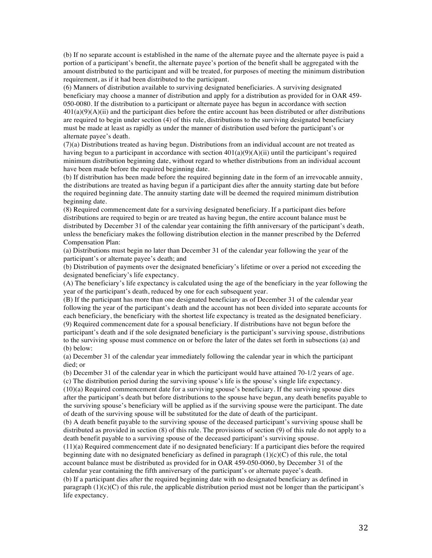(b) If no separate account is established in the name of the alternate payee and the alternate payee is paid a portion of a participant's benefit, the alternate payee's portion of the benefit shall be aggregated with the amount distributed to the participant and will be treated, for purposes of meeting the minimum distribution requirement, as if it had been distributed to the participant.

(6) Manners of distribution available to surviving designated beneficiaries. A surviving designated beneficiary may choose a manner of distribution and apply for a distribution as provided for in OAR 459- 050-0080. If the distribution to a participant or alternate payee has begun in accordance with section  $401(a)(9)(A)(ii)$  and the participant dies before the entire account has been distributed or after distributions are required to begin under section (4) of this rule, distributions to the surviving designated beneficiary must be made at least as rapidly as under the manner of distribution used before the participant's or alternate payee's death.

(7)(a) Distributions treated as having begun. Distributions from an individual account are not treated as having begun to a participant in accordance with section 401(a)(9)(A)(ii) until the participant's required minimum distribution beginning date, without regard to whether distributions from an individual account have been made before the required beginning date.

(b) If distribution has been made before the required beginning date in the form of an irrevocable annuity, the distributions are treated as having begun if a participant dies after the annuity starting date but before the required beginning date. The annuity starting date will be deemed the required minimum distribution beginning date.

(8) Required commencement date for a surviving designated beneficiary. If a participant dies before distributions are required to begin or are treated as having begun, the entire account balance must be distributed by December 31 of the calendar year containing the fifth anniversary of the participant's death, unless the beneficiary makes the following distribution election in the manner prescribed by the Deferred Compensation Plan:

(a) Distributions must begin no later than December 31 of the calendar year following the year of the participant's or alternate payee's death; and

(b) Distribution of payments over the designated beneficiary's lifetime or over a period not exceeding the designated beneficiary's life expectancy.

(A) The beneficiary's life expectancy is calculated using the age of the beneficiary in the year following the year of the participant's death, reduced by one for each subsequent year.

(B) If the participant has more than one designated beneficiary as of December 31 of the calendar year following the year of the participant's death and the account has not been divided into separate accounts for each beneficiary, the beneficiary with the shortest life expectancy is treated as the designated beneficiary. (9) Required commencement date for a spousal beneficiary. If distributions have not begun before the

participant's death and if the sole designated beneficiary is the participant's surviving spouse, distributions to the surviving spouse must commence on or before the later of the dates set forth in subsections (a) and (b) below:

(a) December 31 of the calendar year immediately following the calendar year in which the participant died; or

(b) December 31 of the calendar year in which the participant would have attained 70-1/2 years of age. (c) The distribution period during the surviving spouse's life is the spouse's single life expectancy.

(10)(a) Required commencement date for a surviving spouse's beneficiary. If the surviving spouse dies after the participant's death but before distributions to the spouse have begun, any death benefits payable to the surviving spouse's beneficiary will be applied as if the surviving spouse were the participant. The date of death of the surviving spouse will be substituted for the date of death of the participant.

(b) A death benefit payable to the surviving spouse of the deceased participant's surviving spouse shall be distributed as provided in section (8) of this rule. The provisions of section (9) of this rule do not apply to a death benefit payable to a surviving spouse of the deceased participant's surviving spouse.

(11)(a) Required commencement date if no designated beneficiary: If a participant dies before the required beginning date with no designated beneficiary as defined in paragraph  $(1)(c)(C)$  of this rule, the total account balance must be distributed as provided for in OAR 459-050-0060, by December 31 of the calendar year containing the fifth anniversary of the participant's or alternate payee's death.

(b) If a participant dies after the required beginning date with no designated beneficiary as defined in paragraph  $(1)(c)(C)$  of this rule, the applicable distribution period must not be longer than the participant's life expectancy.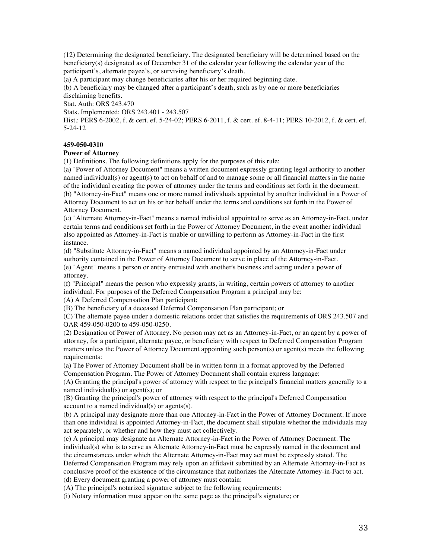(12) Determining the designated beneficiary. The designated beneficiary will be determined based on the beneficiary(s) designated as of December 31 of the calendar year following the calendar year of the participant's, alternate payee's, or surviving beneficiary's death.

(a) A participant may change beneficiaries after his or her required beginning date.

(b) A beneficiary may be changed after a participant's death, such as by one or more beneficiaries disclaiming benefits.

Stat. Auth: ORS 243.470

Stats. Implemented: ORS 243.401 - 243.507

Hist.: PERS 6-2002, f. & cert. ef. 5-24-02; PERS 6-2011, f. & cert. ef. 8-4-11; PERS 10-2012, f. & cert. ef. 5-24-12

## **459-050-0310**

## **Power of Attorney**

(1) Definitions. The following definitions apply for the purposes of this rule:

(a) "Power of Attorney Document" means a written document expressly granting legal authority to another named individual(s) or agent(s) to act on behalf of and to manage some or all financial matters in the name of the individual creating the power of attorney under the terms and conditions set forth in the document. (b) "Attorney-in-Fact" means one or more named individuals appointed by another individual in a Power of Attorney Document to act on his or her behalf under the terms and conditions set forth in the Power of Attorney Document.

(c) "Alternate Attorney-in-Fact" means a named individual appointed to serve as an Attorney-in-Fact, under certain terms and conditions set forth in the Power of Attorney Document, in the event another individual also appointed as Attorney-in-Fact is unable or unwilling to perform as Attorney-in-Fact in the first instance.

(d) "Substitute Attorney-in-Fact" means a named individual appointed by an Attorney-in-Fact under authority contained in the Power of Attorney Document to serve in place of the Attorney-in-Fact. (e) "Agent" means a person or entity entrusted with another's business and acting under a power of attorney.

(f) "Principal" means the person who expressly grants, in writing, certain powers of attorney to another individual. For purposes of the Deferred Compensation Program a principal may be:

(A) A Deferred Compensation Plan participant;

(B) The beneficiary of a deceased Deferred Compensation Plan participant; or

(C) The alternate payee under a domestic relations order that satisfies the requirements of ORS 243.507 and OAR 459-050-0200 to 459-050-0250.

(2) Designation of Power of Attorney. No person may act as an Attorney-in-Fact, or an agent by a power of attorney, for a participant, alternate payee, or beneficiary with respect to Deferred Compensation Program matters unless the Power of Attorney Document appointing such person(s) or agent(s) meets the following requirements:

(a) The Power of Attorney Document shall be in written form in a format approved by the Deferred Compensation Program. The Power of Attorney Document shall contain express language:

(A) Granting the principal's power of attorney with respect to the principal's financial matters generally to a named individual(s) or agent(s); or

(B) Granting the principal's power of attorney with respect to the principal's Deferred Compensation account to a named individual(s) or agents(s).

(b) A principal may designate more than one Attorney-in-Fact in the Power of Attorney Document. If more than one individual is appointed Attorney-in-Fact, the document shall stipulate whether the individuals may act separately, or whether and how they must act collectively.

(c) A principal may designate an Alternate Attorney-in-Fact in the Power of Attorney Document. The individual(s) who is to serve as Alternate Attorney-in-Fact must be expressly named in the document and the circumstances under which the Alternate Attorney-in-Fact may act must be expressly stated. The Deferred Compensation Program may rely upon an affidavit submitted by an Alternate Attorney-in-Fact as conclusive proof of the existence of the circumstance that authorizes the Alternate Attorney-in-Fact to act. (d) Every document granting a power of attorney must contain:

(A) The principal's notarized signature subject to the following requirements:

(i) Notary information must appear on the same page as the principal's signature; or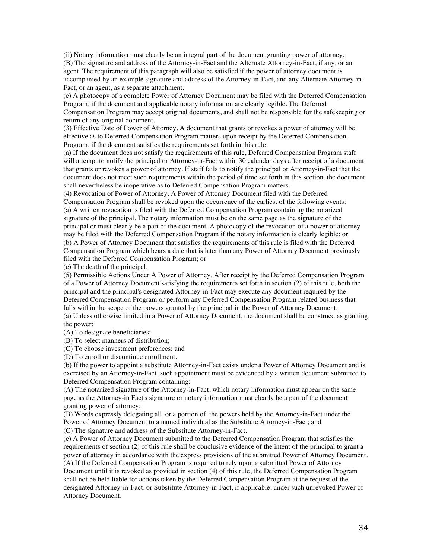(ii) Notary information must clearly be an integral part of the document granting power of attorney. (B) The signature and address of the Attorney-in-Fact and the Alternate Attorney-in-Fact, if any, or an agent. The requirement of this paragraph will also be satisfied if the power of attorney document is accompanied by an example signature and address of the Attorney-in-Fact, and any Alternate Attorney-in-Fact, or an agent, as a separate attachment.

(e) A photocopy of a complete Power of Attorney Document may be filed with the Deferred Compensation Program, if the document and applicable notary information are clearly legible. The Deferred Compensation Program may accept original documents, and shall not be responsible for the safekeeping or return of any original document.

(3) Effective Date of Power of Attorney. A document that grants or revokes a power of attorney will be effective as to Deferred Compensation Program matters upon receipt by the Deferred Compensation Program, if the document satisfies the requirements set forth in this rule.

(a) If the document does not satisfy the requirements of this rule, Deferred Compensation Program staff will attempt to notify the principal or Attorney-in-Fact within 30 calendar days after receipt of a document that grants or revokes a power of attorney. If staff fails to notify the principal or Attorney-in-Fact that the document does not meet such requirements within the period of time set forth in this section, the document shall nevertheless be inoperative as to Deferred Compensation Program matters.

(4) Revocation of Power of Attorney. A Power of Attorney Document filed with the Deferred Compensation Program shall be revoked upon the occurrence of the earliest of the following events: (a) A written revocation is filed with the Deferred Compensation Program containing the notarized signature of the principal. The notary information must be on the same page as the signature of the principal or must clearly be a part of the document. A photocopy of the revocation of a power of attorney may be filed with the Deferred Compensation Program if the notary information is clearly legible; or (b) A Power of Attorney Document that satisfies the requirements of this rule is filed with the Deferred Compensation Program which bears a date that is later than any Power of Attorney Document previously filed with the Deferred Compensation Program; or

(c) The death of the principal.

(5) Permissible Actions Under A Power of Attorney. After receipt by the Deferred Compensation Program of a Power of Attorney Document satisfying the requirements set forth in section (2) of this rule, both the principal and the principal's designated Attorney-in-Fact may execute any document required by the Deferred Compensation Program or perform any Deferred Compensation Program related business that falls within the scope of the powers granted by the principal in the Power of Attorney Document.

(a) Unless otherwise limited in a Power of Attorney Document, the document shall be construed as granting the power:

(A) To designate beneficiaries;

(B) To select manners of distribution;

(C) To choose investment preferences; and

(D) To enroll or discontinue enrollment.

(b) If the power to appoint a substitute Attorney-in-Fact exists under a Power of Attorney Document and is exercised by an Attorney-in-Fact, such appointment must be evidenced by a written document submitted to Deferred Compensation Program containing:

(A) The notarized signature of the Attorney-in-Fact, which notary information must appear on the same page as the Attorney-in Fact's signature or notary information must clearly be a part of the document granting power of attorney;

(B) Words expressly delegating all, or a portion of, the powers held by the Attorney-in-Fact under the Power of Attorney Document to a named individual as the Substitute Attorney-in-Fact; and (C) The signature and address of the Substitute Attorney-in-Fact.

(c) A Power of Attorney Document submitted to the Deferred Compensation Program that satisfies the requirements of section (2) of this rule shall be conclusive evidence of the intent of the principal to grant a power of attorney in accordance with the express provisions of the submitted Power of Attorney Document. (A) If the Deferred Compensation Program is required to rely upon a submitted Power of Attorney Document until it is revoked as provided in section (4) of this rule, the Deferred Compensation Program shall not be held liable for actions taken by the Deferred Compensation Program at the request of the designated Attorney-in-Fact, or Substitute Attorney-in-Fact, if applicable, under such unrevoked Power of Attorney Document.